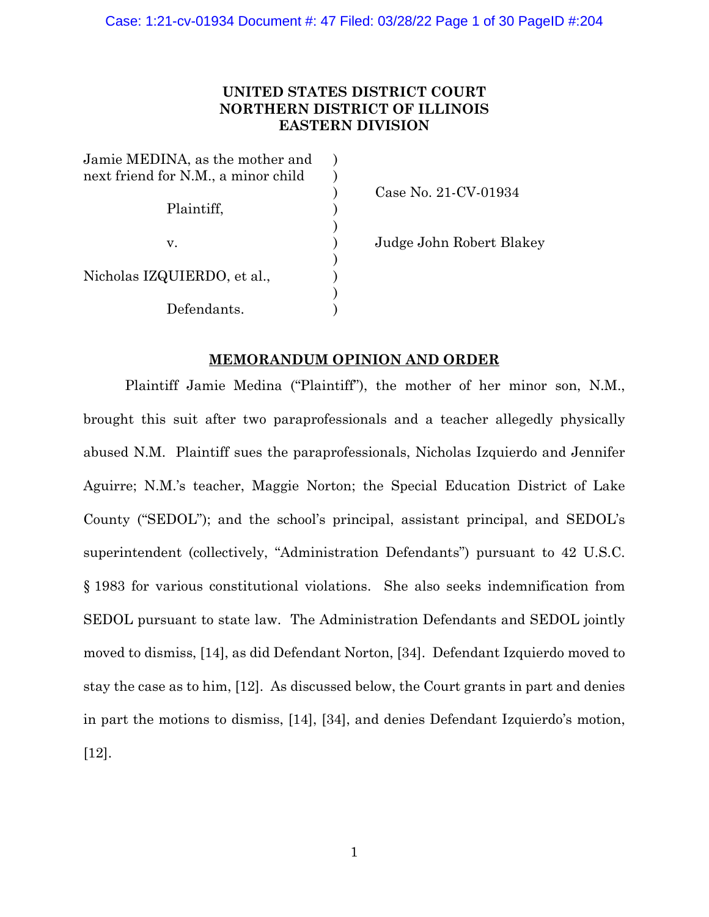# **UNITED STATES DISTRICT COURT NORTHERN DISTRICT OF ILLINOIS EASTERN DIVISION**

| Jamie MEDINA, as the mother and     |  |
|-------------------------------------|--|
| next friend for N.M., a minor child |  |
|                                     |  |
| Plaintiff,                          |  |
|                                     |  |
| $V_{-}$                             |  |
|                                     |  |
| Nicholas IZQUIERDO, et al.,         |  |
|                                     |  |
| Defendants.                         |  |

) Case No. 21-CV-01934

Judge John Robert Blakey

## **MEMORANDUM OPINION AND ORDER**

Plaintiff Jamie Medina ("Plaintiff"), the mother of her minor son, N.M., brought this suit after two paraprofessionals and a teacher allegedly physically abused N.M. Plaintiff sues the paraprofessionals, Nicholas Izquierdo and Jennifer Aguirre; N.M.'s teacher, Maggie Norton; the Special Education District of Lake County ("SEDOL"); and the school's principal, assistant principal, and SEDOL's superintendent (collectively, "Administration Defendants") pursuant to 42 U.S.C. § 1983 for various constitutional violations. She also seeks indemnification from SEDOL pursuant to state law. The Administration Defendants and SEDOL jointly moved to dismiss, [14], as did Defendant Norton, [34]. Defendant Izquierdo moved to stay the case as to him, [12]. As discussed below, the Court grants in part and denies in part the motions to dismiss, [14], [34], and denies Defendant Izquierdo's motion, [12].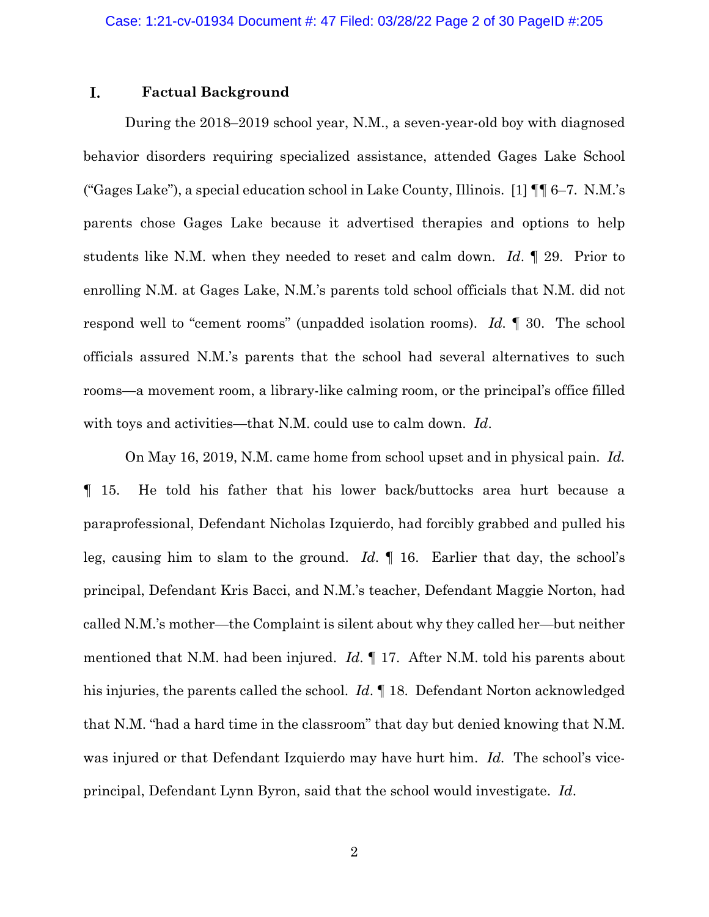### I. **Factual Background**

During the 2018–2019 school year, N.M., a seven-year-old boy with diagnosed behavior disorders requiring specialized assistance, attended Gages Lake School ("Gages Lake"), a special education school in Lake County, Illinois. [1] ¶¶ 6–7. N.M.'s parents chose Gages Lake because it advertised therapies and options to help students like N.M. when they needed to reset and calm down. *Id*. ¶ 29. Prior to enrolling N.M. at Gages Lake, N.M.'s parents told school officials that N.M. did not respond well to "cement rooms" (unpadded isolation rooms). *Id.* ¶ 30.The school officials assured N.M.'s parents that the school had several alternatives to such rooms—a movement room, a library-like calming room, or the principal's office filled with toys and activities—that N.M. could use to calm down. *Id*.

On May 16, 2019, N.M. came home from school upset and in physical pain. *Id.*  ¶ 15. He told his father that his lower back/buttocks area hurt because a paraprofessional, Defendant Nicholas Izquierdo, had forcibly grabbed and pulled his leg, causing him to slam to the ground. *Id*. ¶ 16. Earlier that day, the school's principal, Defendant Kris Bacci, and N.M.'s teacher, Defendant Maggie Norton, had called N.M.'s mother—the Complaint is silent about why they called her—but neither mentioned that N.M. had been injured. *Id*. ¶ 17. After N.M. told his parents about his injuries, the parents called the school. *Id*. ¶ 18. Defendant Norton acknowledged that N.M. "had a hard time in the classroom" that day but denied knowing that N.M. was injured or that Defendant Izquierdo may have hurt him. *Id.* The school's viceprincipal, Defendant Lynn Byron, said that the school would investigate. *Id*.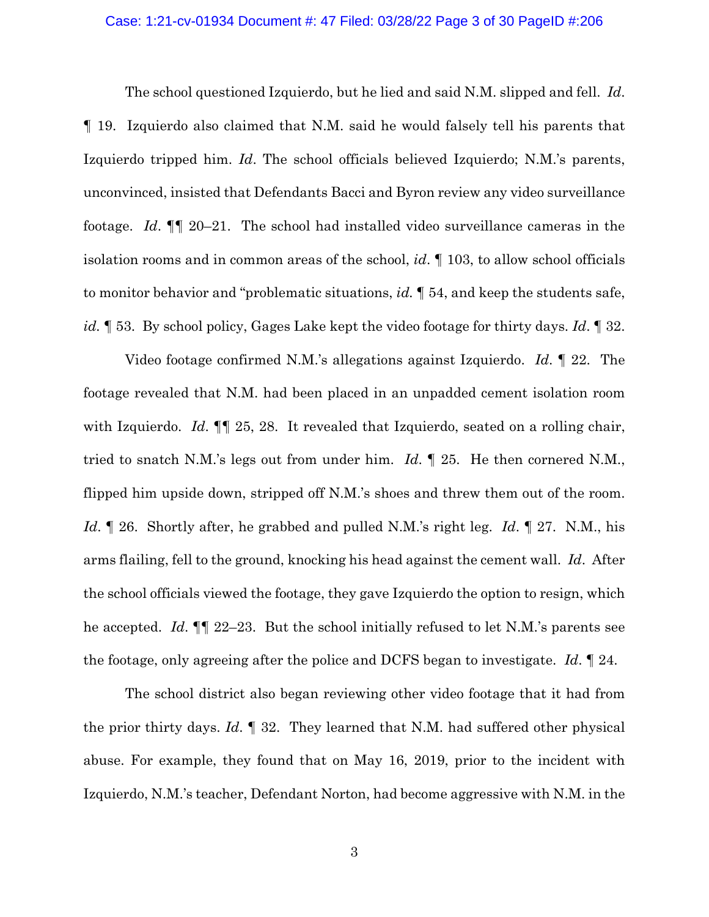## Case: 1:21-cv-01934 Document #: 47 Filed: 03/28/22 Page 3 of 30 PageID #:206

The school questioned Izquierdo, but he lied and said N.M. slipped and fell. *Id*. ¶ 19. Izquierdo also claimed that N.M. said he would falsely tell his parents that Izquierdo tripped him. *Id*. The school officials believed Izquierdo; N.M.'s parents, unconvinced, insisted that Defendants Bacci and Byron review any video surveillance footage. *Id*. ¶¶ 20–21. The school had installed video surveillance cameras in the isolation rooms and in common areas of the school, *id*. ¶ 103, to allow school officials to monitor behavior and "problematic situations, *id.* ¶ 54, and keep the students safe, *id.* ¶ 53. By school policy, Gages Lake kept the video footage for thirty days. *Id*. ¶ 32.

Video footage confirmed N.M.'s allegations against Izquierdo. *Id*. ¶ 22. The footage revealed that N.M. had been placed in an unpadded cement isolation room with Izquierdo. *Id.* **[1]** 25, 28. It revealed that Izquierdo, seated on a rolling chair, tried to snatch N.M.'s legs out from under him. *Id*. ¶ 25. He then cornered N.M., flipped him upside down, stripped off N.M.'s shoes and threw them out of the room. *Id*. ¶ 26. Shortly after, he grabbed and pulled N.M.'s right leg. *Id*. ¶ 27. N.M., his arms flailing, fell to the ground, knocking his head against the cement wall. *Id*. After the school officials viewed the footage, they gave Izquierdo the option to resign, which he accepted. *Id*. ¶¶ 22–23. But the school initially refused to let N.M.'s parents see the footage, only agreeing after the police and DCFS began to investigate. *Id*. ¶ 24.

The school district also began reviewing other video footage that it had from the prior thirty days. *Id*. ¶ 32. They learned that N.M. had suffered other physical abuse. For example, they found that on May 16, 2019, prior to the incident with Izquierdo, N.M.'s teacher, Defendant Norton, had become aggressive with N.M. in the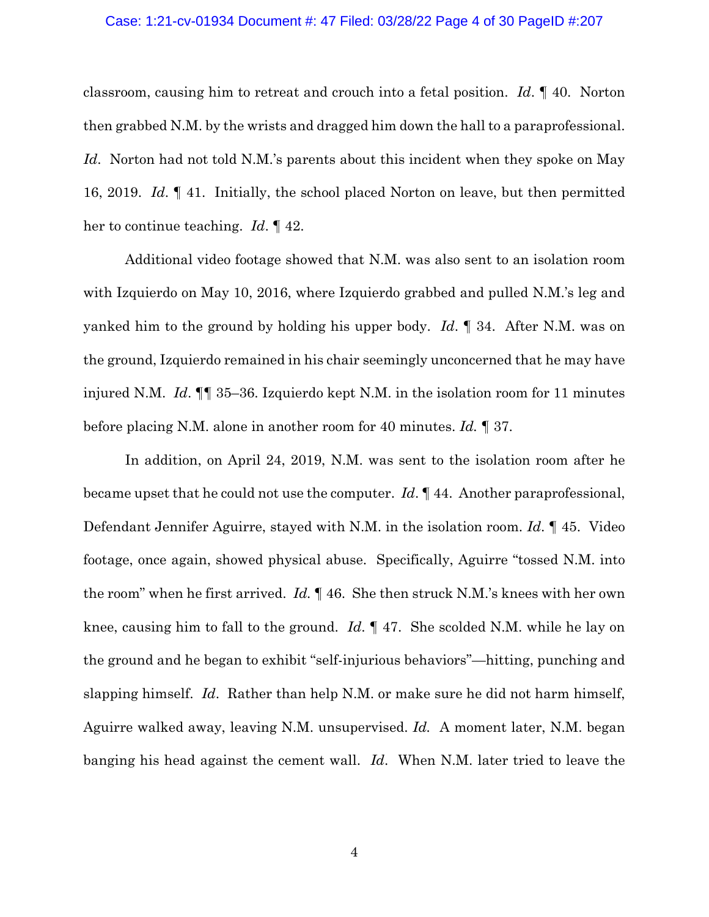## Case: 1:21-cv-01934 Document #: 47 Filed: 03/28/22 Page 4 of 30 PageID #:207

classroom, causing him to retreat and crouch into a fetal position. *Id*. ¶ 40. Norton then grabbed N.M. by the wrists and dragged him down the hall to a paraprofessional. *Id*. Norton had not told N.M.'s parents about this incident when they spoke on May 16, 2019. *Id*. ¶ 41. Initially, the school placed Norton on leave, but then permitted her to continue teaching. *Id*. ¶ 42.

Additional video footage showed that N.M. was also sent to an isolation room with Izquierdo on May 10, 2016, where Izquierdo grabbed and pulled N.M.'s leg and yanked him to the ground by holding his upper body. *Id*. ¶ 34. After N.M. was on the ground, Izquierdo remained in his chair seemingly unconcerned that he may have injured N.M. *Id*. ¶¶ 35–36. Izquierdo kept N.M. in the isolation room for 11 minutes before placing N.M. alone in another room for 40 minutes. *Id.* ¶ 37.

In addition, on April 24, 2019, N.M. was sent to the isolation room after he became upset that he could not use the computer. *Id*. ¶ 44. Another paraprofessional, Defendant Jennifer Aguirre, stayed with N.M. in the isolation room. *Id*. ¶ 45. Video footage, once again, showed physical abuse. Specifically, Aguirre "tossed N.M. into the room" when he first arrived. *Id.* ¶ 46. She then struck N.M.'s knees with her own knee, causing him to fall to the ground. *Id*. ¶ 47. She scolded N.M. while he lay on the ground and he began to exhibit "self-injurious behaviors"—hitting, punching and slapping himself. *Id*. Rather than help N.M. or make sure he did not harm himself, Aguirre walked away, leaving N.M. unsupervised. *Id.* A moment later, N.M. began banging his head against the cement wall. *Id*. When N.M. later tried to leave the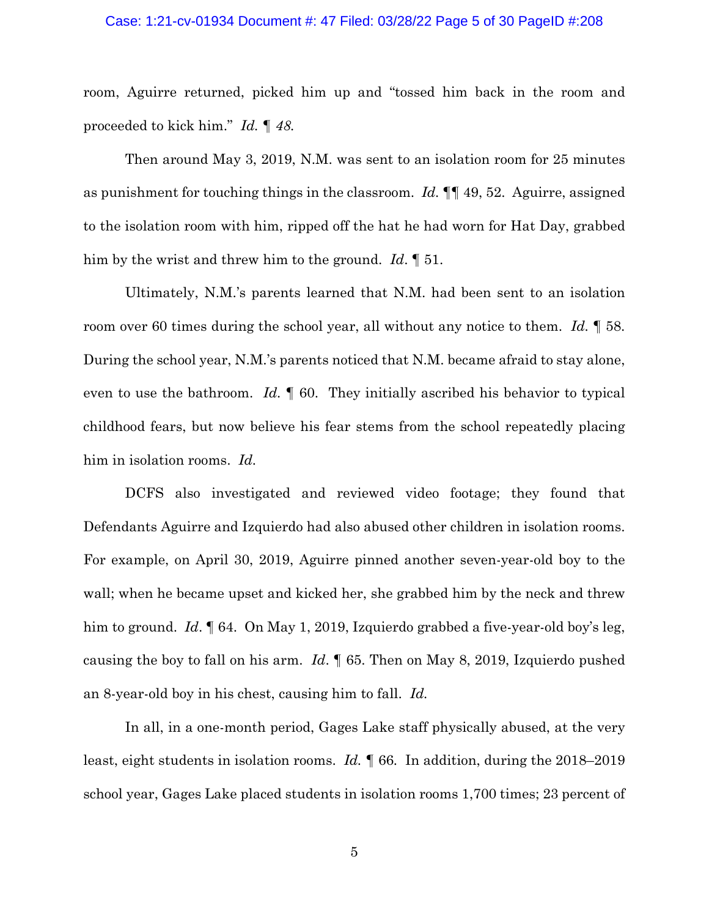## Case: 1:21-cv-01934 Document #: 47 Filed: 03/28/22 Page 5 of 30 PageID #:208

room, Aguirre returned, picked him up and "tossed him back in the room and proceeded to kick him." *Id. ¶ 48.* 

Then around May 3, 2019, N.M. was sent to an isolation room for 25 minutes as punishment for touching things in the classroom. *Id.* ¶¶ 49, 52. Aguirre, assigned to the isolation room with him, ripped off the hat he had worn for Hat Day, grabbed him by the wrist and threw him to the ground. *Id*. ¶ 51.

Ultimately, N.M.'s parents learned that N.M. had been sent to an isolation room over 60 times during the school year, all without any notice to them. *Id.* ¶ 58. During the school year, N.M.'s parents noticed that N.M. became afraid to stay alone, even to use the bathroom. *Id.* ¶ 60. They initially ascribed his behavior to typical childhood fears, but now believe his fear stems from the school repeatedly placing him in isolation rooms. *Id.*

DCFS also investigated and reviewed video footage; they found that Defendants Aguirre and Izquierdo had also abused other children in isolation rooms. For example, on April 30, 2019, Aguirre pinned another seven-year-old boy to the wall; when he became upset and kicked her, she grabbed him by the neck and threw him to ground. *Id*. **[64.** On May 1, 2019, Izquierdo grabbed a five-year-old boy's leg, causing the boy to fall on his arm. *Id*. ¶ 65. Then on May 8, 2019, Izquierdo pushed an 8-year-old boy in his chest, causing him to fall. *Id.* 

In all, in a one-month period, Gages Lake staff physically abused, at the very least, eight students in isolation rooms. *Id. ¶* 66*.* In addition, during the 2018–2019 school year, Gages Lake placed students in isolation rooms 1,700 times; 23 percent of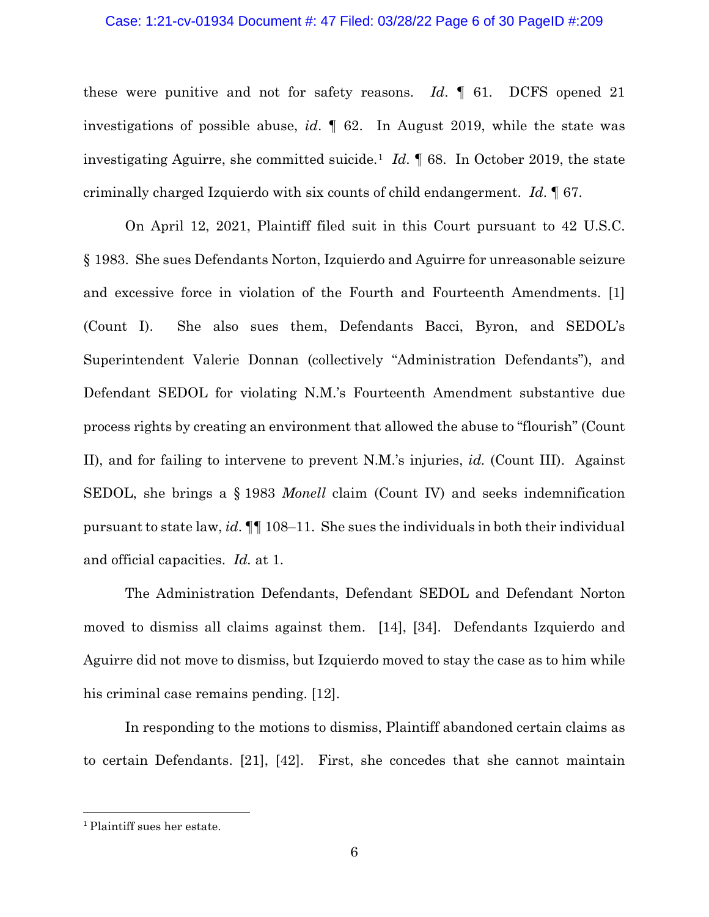## Case: 1:21-cv-01934 Document #: 47 Filed: 03/28/22 Page 6 of 30 PageID #:209

these were punitive and not for safety reasons. *Id*. ¶ 61. DCFS opened 21 investigations of possible abuse, *id*. ¶ 62. In August 2019, while the state was investigating Aguirre, she committed suicide.[1](#page-5-0) *Id*. ¶ 68. In October 2019, the state criminally charged Izquierdo with six counts of child endangerment. *Id*. ¶ 67.

On April 12, 2021, Plaintiff filed suit in this Court pursuant to 42 U.S.C. § 1983. She sues Defendants Norton, Izquierdo and Aguirre for unreasonable seizure and excessive force in violation of the Fourth and Fourteenth Amendments. [1] (Count I). She also sues them, Defendants Bacci, Byron, and SEDOL's Superintendent Valerie Donnan (collectively "Administration Defendants"), and Defendant SEDOL for violating N.M.'s Fourteenth Amendment substantive due process rights by creating an environment that allowed the abuse to "flourish" (Count II), and for failing to intervene to prevent N.M.'s injuries, *id.* (Count III). Against SEDOL, she brings a § 1983 *Monell* claim (Count IV) and seeks indemnification pursuant to state law, *id*. ¶¶ 108–11. She sues the individuals in both their individual and official capacities. *Id.* at 1.

The Administration Defendants, Defendant SEDOL and Defendant Norton moved to dismiss all claims against them. [14], [34]. Defendants Izquierdo and Aguirre did not move to dismiss, but Izquierdo moved to stay the case as to him while his criminal case remains pending. [12].

In responding to the motions to dismiss, Plaintiff abandoned certain claims as to certain Defendants. [21], [42]. First, she concedes that she cannot maintain

<span id="page-5-0"></span><sup>1</sup> Plaintiff sues her estate.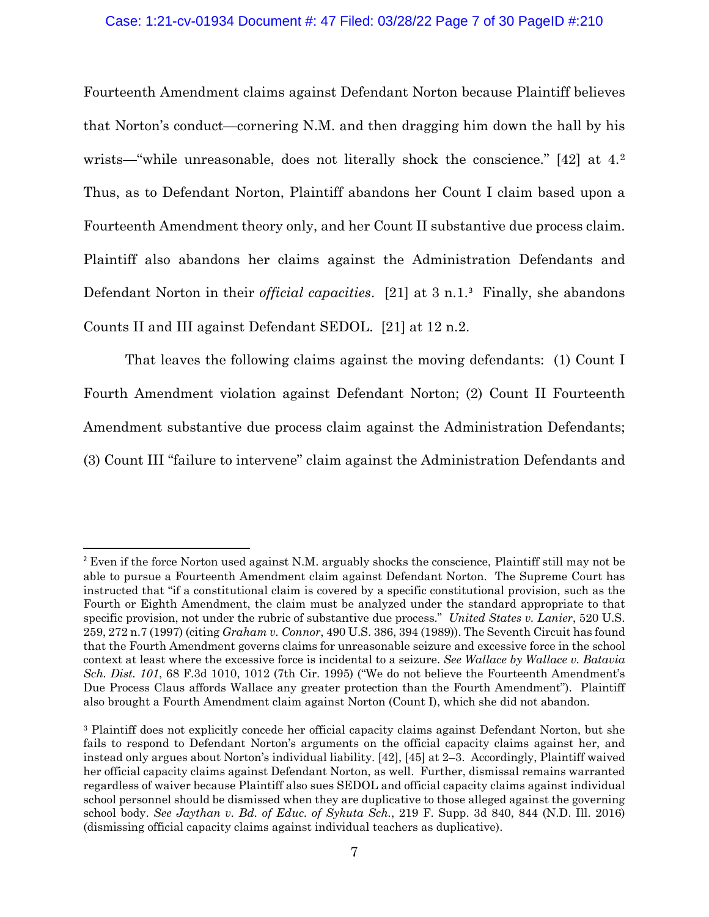## Case: 1:21-cv-01934 Document #: 47 Filed: 03/28/22 Page 7 of 30 PageID #:210

Fourteenth Amendment claims against Defendant Norton because Plaintiff believes that Norton's conduct—cornering N.M. and then dragging him down the hall by his wrists—"while unreasonable, does not literally shock the conscience." [4[2](#page-6-0)] at 4.<sup>2</sup> Thus, as to Defendant Norton, Plaintiff abandons her Count I claim based upon a Fourteenth Amendment theory only, and her Count II substantive due process claim. Plaintiff also abandons her claims against the Administration Defendants and Defendant Norton in their *official capacities*. [21] at 3 n.1. [3](#page-6-1) Finally, she abandons Counts II and III against Defendant SEDOL. [21] at 12 n.2.

That leaves the following claims against the moving defendants: (1) Count I Fourth Amendment violation against Defendant Norton; (2) Count II Fourteenth Amendment substantive due process claim against the Administration Defendants; (3) Count III "failure to intervene" claim against the Administration Defendants and

<span id="page-6-0"></span><sup>2</sup> Even if the force Norton used against N.M. arguably shocks the conscience, Plaintiff still may not be able to pursue a Fourteenth Amendment claim against Defendant Norton. The Supreme Court has instructed that "if a constitutional claim is covered by a specific constitutional provision, such as the Fourth or Eighth Amendment, the claim must be analyzed under the standard appropriate to that specific provision, not under the rubric of substantive due process." *United States v. Lanier*, 520 U.S. 259, 272 n.7 (1997) (citing *Graham v. Connor*, 490 U.S. 386, 394 (1989)). The Seventh Circuit has found that the Fourth Amendment governs claims for unreasonable seizure and excessive force in the school context at least where the excessive force is incidental to a seizure. *See Wallace by Wallace v. Batavia Sch. Dist. 101*, 68 F.3d 1010, 1012 (7th Cir. 1995) ("We do not believe the Fourteenth Amendment's Due Process Claus affords Wallace any greater protection than the Fourth Amendment"). Plaintiff also brought a Fourth Amendment claim against Norton (Count I), which she did not abandon.

<span id="page-6-1"></span><sup>3</sup> Plaintiff does not explicitly concede her official capacity claims against Defendant Norton, but she fails to respond to Defendant Norton's arguments on the official capacity claims against her, and instead only argues about Norton's individual liability. [42], [45] at 2–3. Accordingly, Plaintiff waived her official capacity claims against Defendant Norton, as well. Further, dismissal remains warranted regardless of waiver because Plaintiff also sues SEDOL and official capacity claims against individual school personnel should be dismissed when they are duplicative to those alleged against the governing school body. *See Jaythan v. Bd. of Educ. of Sykuta Sch.*, 219 F. Supp. 3d 840, 844 (N.D. Ill. 2016) (dismissing official capacity claims against individual teachers as duplicative).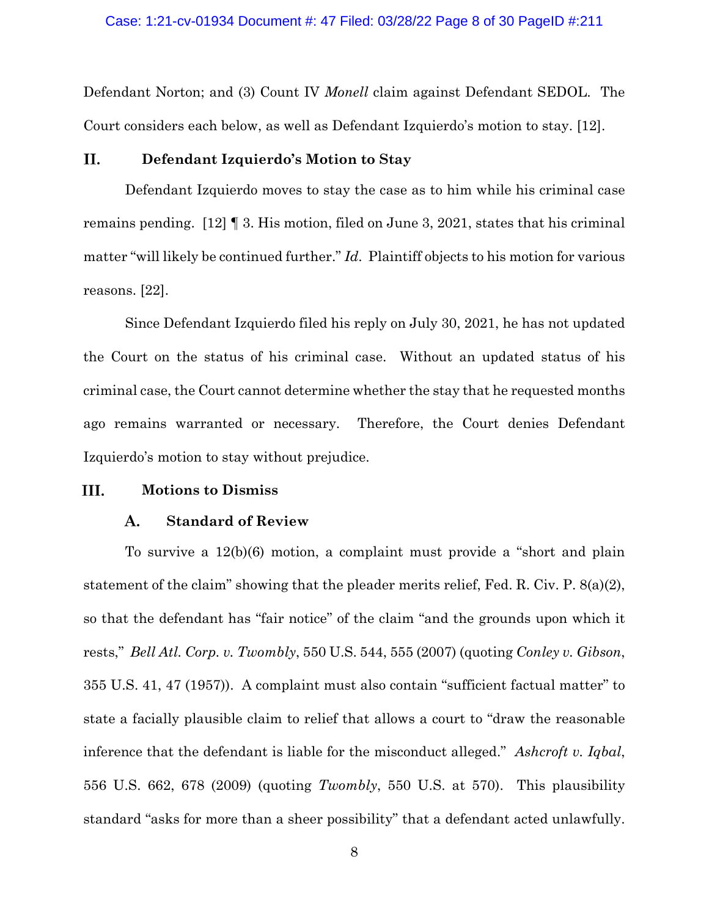Defendant Norton; and (3) Count IV *Monell* claim against Defendant SEDOL. The Court considers each below, as well as Defendant Izquierdo's motion to stay. [12].

### П. **Defendant Izquierdo's Motion to Stay**

Defendant Izquierdo moves to stay the case as to him while his criminal case remains pending. [12] ¶ 3. His motion, filed on June 3, 2021, states that his criminal matter "will likely be continued further." *Id*. Plaintiff objects to his motion for various reasons. [22].

Since Defendant Izquierdo filed his reply on July 30, 2021, he has not updated the Court on the status of his criminal case. Without an updated status of his criminal case, the Court cannot determine whether the stay that he requested months ago remains warranted or necessary. Therefore, the Court denies Defendant Izquierdo's motion to stay without prejudice.

#### III. **Motions to Dismiss**

#### **Standard of Review** A.

To survive a 12(b)(6) motion, a complaint must provide a "short and plain statement of the claim" showing that the pleader merits relief, Fed. R. Civ. P. 8(a)(2), so that the defendant has "fair notice" of the claim "and the grounds upon which it rests," *Bell Atl. Corp. v. Twombly*, 550 U.S. 544, 555 (2007) (quoting *Conley v. Gibson*, 355 U.S. 41, 47 (1957)). A complaint must also contain "sufficient factual matter" to state a facially plausible claim to relief that allows a court to "draw the reasonable inference that the defendant is liable for the misconduct alleged." *Ashcroft v. Iqbal*, 556 U.S. 662, 678 (2009) (quoting *Twombly*, 550 U.S. at 570). This plausibility standard "asks for more than a sheer possibility" that a defendant acted unlawfully.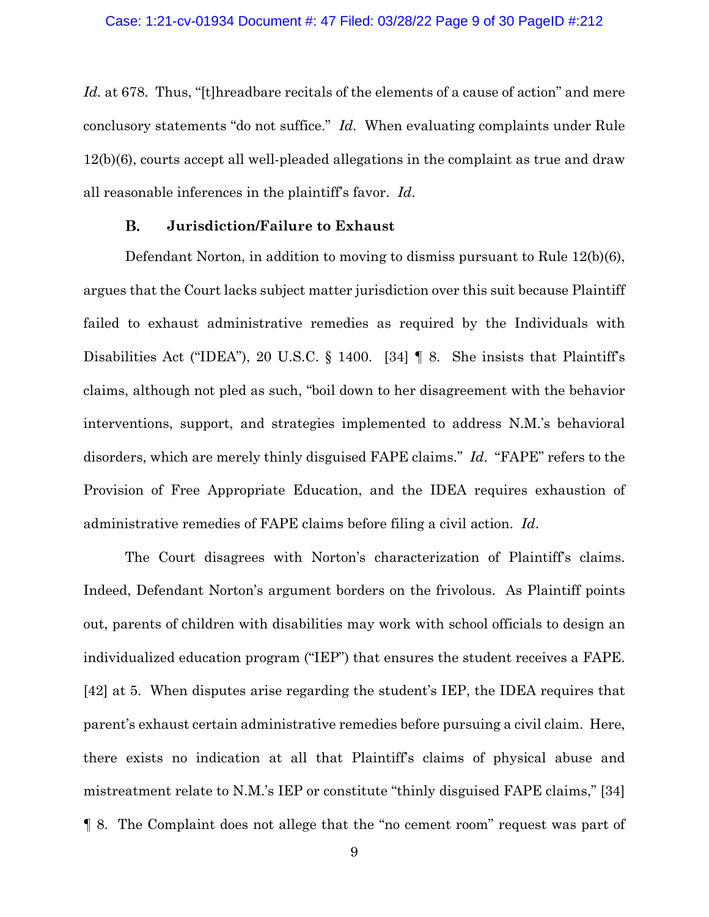Id. at 678. Thus, "[t]hreadbare recitals of the elements of a cause of action" and mere conclusory statements "do not suffice." *Id.* When evaluating complaints under Rule 12(b)(6), courts accept all well-pleaded allegations in the complaint as true and draw all reasonable inferences in the plaintiff's favor. *Id*.

### **B. Jurisdiction/Failure to Exhaust**

Defendant Norton, in addition to moving to dismiss pursuant to Rule 12(b)(6), argues that the Court lacks subject matter jurisdiction over this suit because Plaintiff failed to exhaust administrative remedies as required by the Individuals with Disabilities Act ("IDEA"), 20 U.S.C. § 1400. [34] ¶ 8. She insists that Plaintiff's claims, although not pled as such, "boil down to her disagreement with the behavior interventions, support, and strategies implemented to address N.M.'s behavioral disorders, which are merely thinly disguised FAPE claims." *Id*. "FAPE" refers to the Provision of Free Appropriate Education, and the IDEA requires exhaustion of administrative remedies of FAPE claims before filing a civil action. *Id*.

The Court disagrees with Norton's characterization of Plaintiff's claims. Indeed, Defendant Norton's argument borders on the frivolous. As Plaintiff points out, parents of children with disabilities may work with school officials to design an individualized education program ("IEP") that ensures the student receives a FAPE. [42] at 5. When disputes arise regarding the student's IEP, the IDEA requires that parent's exhaust certain administrative remedies before pursuing a civil claim. Here, there exists no indication at all that Plaintiff's claims of physical abuse and mistreatment relate to N.M.'s IEP or constitute "thinly disguised FAPE claims," [34] ¶ 8. The Complaint does not allege that the "no cement room" request was part of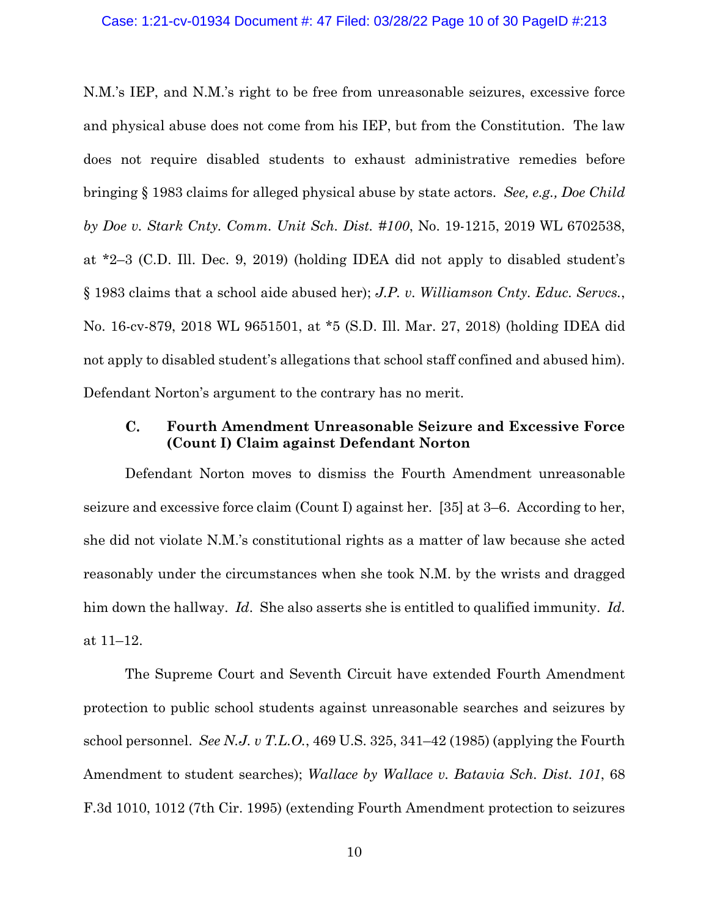## Case: 1:21-cv-01934 Document #: 47 Filed: 03/28/22 Page 10 of 30 PageID #:213

N.M.'s IEP, and N.M.'s right to be free from unreasonable seizures, excessive force and physical abuse does not come from his IEP, but from the Constitution. The law does not require disabled students to exhaust administrative remedies before bringing § 1983 claims for alleged physical abuse by state actors. *See, e.g., Doe Child by Doe v. Stark Cnty. Comm. Unit Sch. Dist. #100*, No. 19-1215, 2019 WL 6702538, at \*2–3 (C.D. Ill. Dec. 9, 2019) (holding IDEA did not apply to disabled student's § 1983 claims that a school aide abused her); *J.P. v. Williamson Cnty. Educ. Servcs.*, No. 16-cv-879, 2018 WL 9651501, at \*5 (S.D. Ill. Mar. 27, 2018) (holding IDEA did not apply to disabled student's allegations that school staff confined and abused him). Defendant Norton's argument to the contrary has no merit.

### $\mathbf{C}$ . **Fourth Amendment Unreasonable Seizure and Excessive Force (Count I) Claim against Defendant Norton**

Defendant Norton moves to dismiss the Fourth Amendment unreasonable seizure and excessive force claim (Count I) against her. [35] at 3–6. According to her, she did not violate N.M.'s constitutional rights as a matter of law because she acted reasonably under the circumstances when she took N.M. by the wrists and dragged him down the hallway. *Id*. She also asserts she is entitled to qualified immunity. *Id*. at 11–12.

The Supreme Court and Seventh Circuit have extended Fourth Amendment protection to public school students against unreasonable searches and seizures by school personnel. *See N.J. v T.L.O.*, 469 U.S. 325, 341–42 (1985) (applying the Fourth Amendment to student searches); *Wallace by Wallace v. Batavia Sch. Dist. 101*, 68 F.3d 1010, 1012 (7th Cir. 1995) (extending Fourth Amendment protection to seizures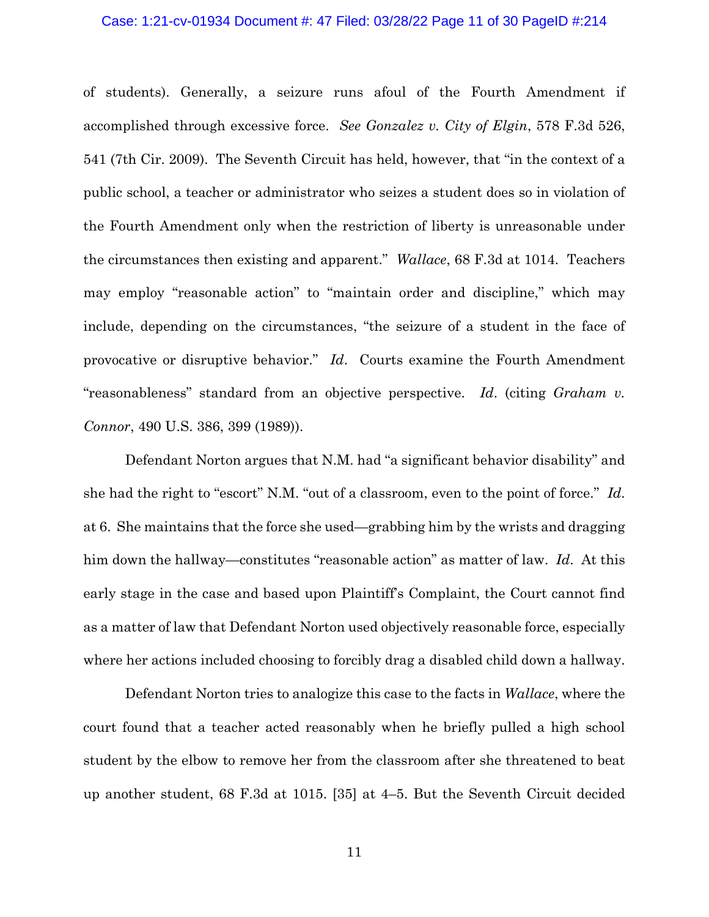## Case: 1:21-cv-01934 Document #: 47 Filed: 03/28/22 Page 11 of 30 PageID #:214

of students). Generally, a seizure runs afoul of the Fourth Amendment if accomplished through excessive force. *See Gonzalez v. City of Elgin*, 578 F.3d 526, 541 (7th Cir. 2009). The Seventh Circuit has held, however, that "in the context of a public school, a teacher or administrator who seizes a student does so in violation of the Fourth Amendment only when the restriction of liberty is unreasonable under the circumstances then existing and apparent." *Wallace*, 68 F.3d at 1014. Teachers may employ "reasonable action" to "maintain order and discipline," which may include, depending on the circumstances, "the seizure of a student in the face of provocative or disruptive behavior." *Id*. Courts examine the Fourth Amendment "reasonableness" standard from an objective perspective. *Id*. (citing *Graham v. Connor*, 490 U.S. 386, 399 (1989)).

Defendant Norton argues that N.M. had "a significant behavior disability" and she had the right to "escort" N.M. "out of a classroom, even to the point of force." *Id*. at 6. She maintains that the force she used—grabbing him by the wrists and dragging him down the hallway—constitutes "reasonable action" as matter of law. *Id*. At this early stage in the case and based upon Plaintiff's Complaint, the Court cannot find as a matter of law that Defendant Norton used objectively reasonable force, especially where her actions included choosing to forcibly drag a disabled child down a hallway.

Defendant Norton tries to analogize this case to the facts in *Wallace*, where the court found that a teacher acted reasonably when he briefly pulled a high school student by the elbow to remove her from the classroom after she threatened to beat up another student, 68 F.3d at 1015. [35] at 4–5. But the Seventh Circuit decided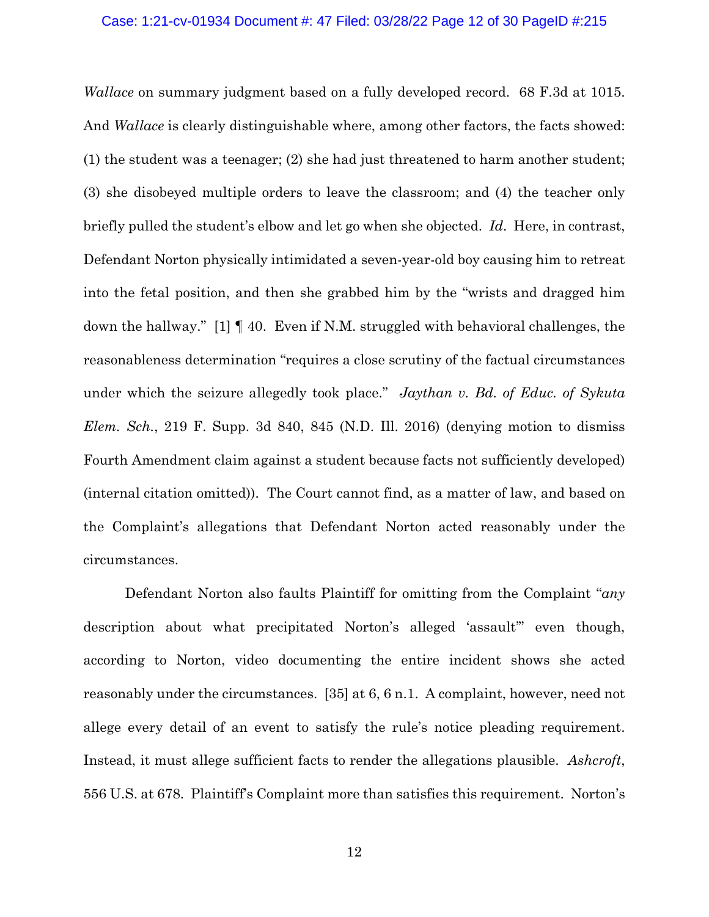## Case: 1:21-cv-01934 Document #: 47 Filed: 03/28/22 Page 12 of 30 PageID #:215

*Wallace* on summary judgment based on a fully developed record. 68 F.3d at 1015. And *Wallace* is clearly distinguishable where, among other factors, the facts showed: (1) the student was a teenager; (2) she had just threatened to harm another student; (3) she disobeyed multiple orders to leave the classroom; and (4) the teacher only briefly pulled the student's elbow and let go when she objected. *Id*. Here, in contrast, Defendant Norton physically intimidated a seven-year-old boy causing him to retreat into the fetal position, and then she grabbed him by the "wrists and dragged him down the hallway." [1] ¶ 40. Even if N.M. struggled with behavioral challenges, the reasonableness determination "requires a close scrutiny of the factual circumstances under which the seizure allegedly took place." *Jaythan v. Bd. of Educ. of Sykuta Elem. Sch.*, 219 F. Supp. 3d 840, 845 (N.D. Ill. 2016) (denying motion to dismiss Fourth Amendment claim against a student because facts not sufficiently developed) (internal citation omitted)). The Court cannot find, as a matter of law, and based on the Complaint's allegations that Defendant Norton acted reasonably under the circumstances.

Defendant Norton also faults Plaintiff for omitting from the Complaint "*any*  description about what precipitated Norton's alleged 'assault'" even though, according to Norton, video documenting the entire incident shows she acted reasonably under the circumstances. [35] at 6, 6 n.1. A complaint, however, need not allege every detail of an event to satisfy the rule's notice pleading requirement. Instead, it must allege sufficient facts to render the allegations plausible. *Ashcroft*, 556 U.S. at 678. Plaintiff's Complaint more than satisfies this requirement. Norton's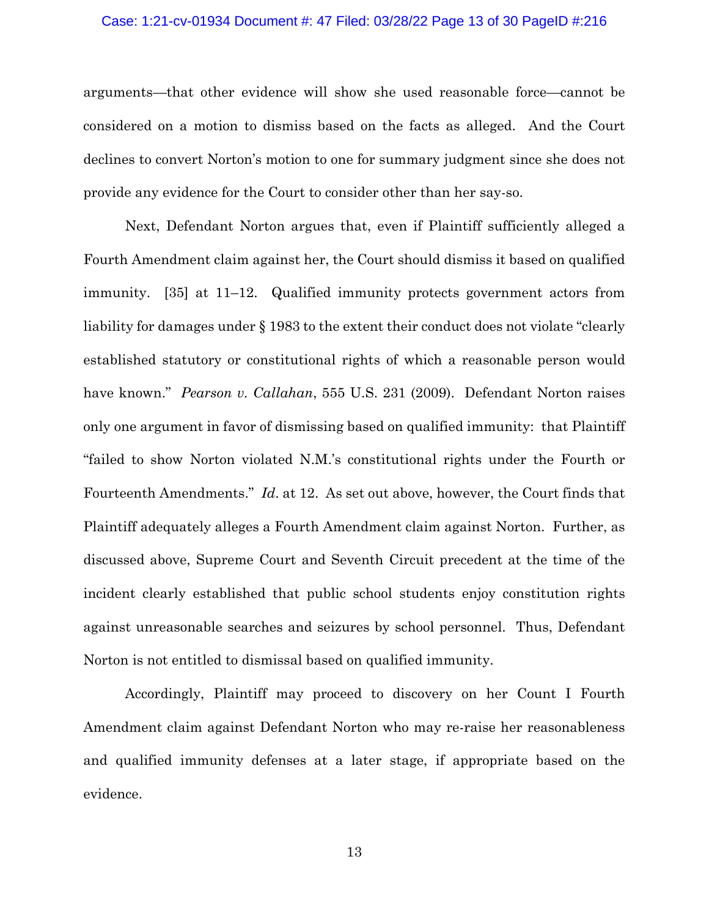## Case: 1:21-cv-01934 Document #: 47 Filed: 03/28/22 Page 13 of 30 PageID #:216

arguments—that other evidence will show she used reasonable force—cannot be considered on a motion to dismiss based on the facts as alleged. And the Court declines to convert Norton's motion to one for summary judgment since she does not provide any evidence for the Court to consider other than her say-so.

Next, Defendant Norton argues that, even if Plaintiff sufficiently alleged a Fourth Amendment claim against her, the Court should dismiss it based on qualified immunity. [35] at 11–12. Qualified immunity protects government actors from liability for damages under § 1983 to the extent their conduct does not violate "clearly established statutory or constitutional rights of which a reasonable person would have known." *Pearson v. Callahan*, 555 U.S. 231 (2009). Defendant Norton raises only one argument in favor of dismissing based on qualified immunity: that Plaintiff "failed to show Norton violated N.M.'s constitutional rights under the Fourth or Fourteenth Amendments." *Id*. at 12. As set out above, however, the Court finds that Plaintiff adequately alleges a Fourth Amendment claim against Norton. Further, as discussed above, Supreme Court and Seventh Circuit precedent at the time of the incident clearly established that public school students enjoy constitution rights against unreasonable searches and seizures by school personnel. Thus, Defendant Norton is not entitled to dismissal based on qualified immunity.

Accordingly, Plaintiff may proceed to discovery on her Count I Fourth Amendment claim against Defendant Norton who may re-raise her reasonableness and qualified immunity defenses at a later stage, if appropriate based on the evidence.

13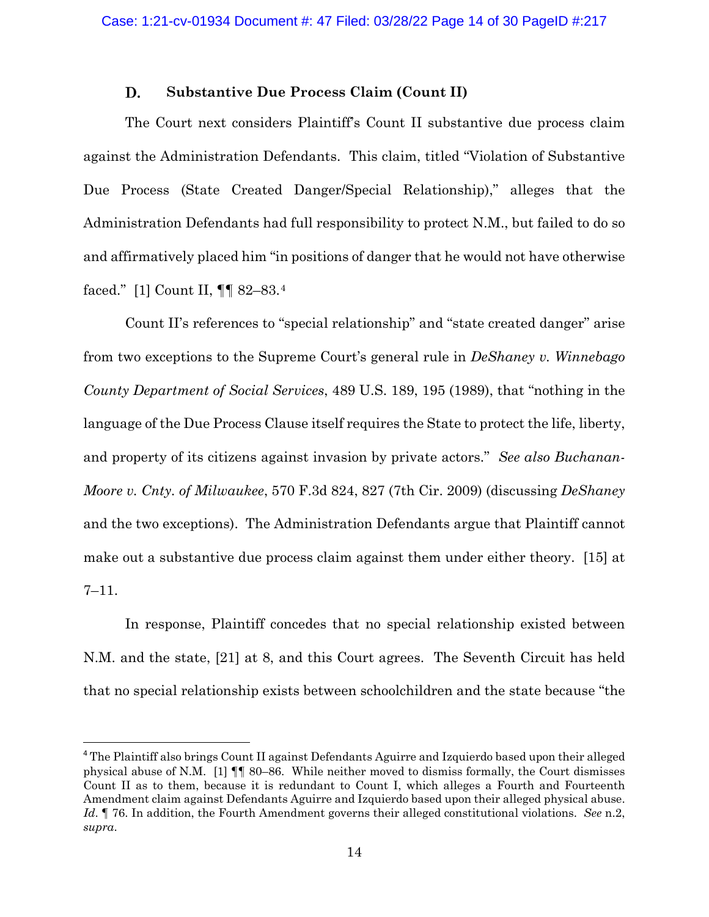### D. **Substantive Due Process Claim (Count II)**

The Court next considers Plaintiff's Count II substantive due process claim against the Administration Defendants. This claim, titled "Violation of Substantive Due Process (State Created Danger/Special Relationship)," alleges that the Administration Defendants had full responsibility to protect N.M., but failed to do so and affirmatively placed him "in positions of danger that he would not have otherwise faced." [1] Count II, ¶¶ 82–83.[4](#page-13-0) 

Count II's references to "special relationship" and "state created danger" arise from two exceptions to the Supreme Court's general rule in *DeShaney v. Winnebago County Department of Social Services*, 489 U.S. 189, 195 (1989), that "nothing in the language of the Due Process Clause itself requires the State to protect the life, liberty, and property of its citizens against invasion by private actors." *See also Buchanan-Moore v. Cnty. of Milwaukee*, 570 F.3d 824, 827 (7th Cir. 2009) (discussing *DeShaney*  and the two exceptions). The Administration Defendants argue that Plaintiff cannot make out a substantive due process claim against them under either theory. [15] at 7–11.

In response, Plaintiff concedes that no special relationship existed between N.M. and the state, [21] at 8, and this Court agrees. The Seventh Circuit has held that no special relationship exists between schoolchildren and the state because "the

<span id="page-13-0"></span><sup>4</sup> The Plaintiff also brings Count II against Defendants Aguirre and Izquierdo based upon their alleged physical abuse of N.M. [1] ¶¶ 80–86. While neither moved to dismiss formally, the Court dismisses Count II as to them, because it is redundant to Count I, which alleges a Fourth and Fourteenth Amendment claim against Defendants Aguirre and Izquierdo based upon their alleged physical abuse. *Id*. ¶ 76. In addition, the Fourth Amendment governs their alleged constitutional violations. *See* n.2, *supra*.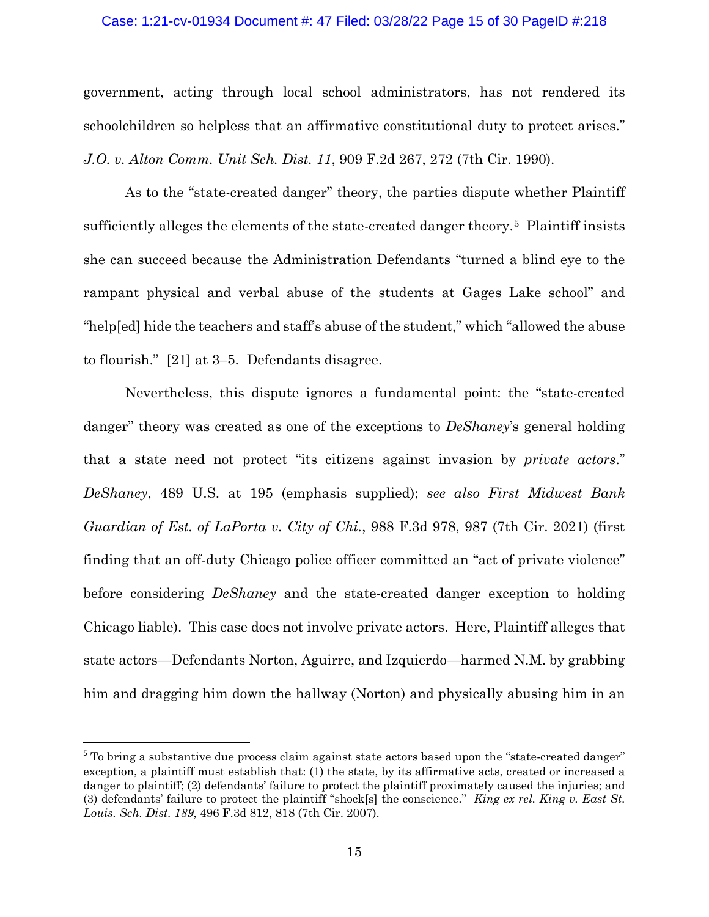## Case: 1:21-cv-01934 Document #: 47 Filed: 03/28/22 Page 15 of 30 PageID #:218

government, acting through local school administrators, has not rendered its schoolchildren so helpless that an affirmative constitutional duty to protect arises." *J.O. v. Alton Comm. Unit Sch. Dist. 11*, 909 F.2d 267, 272 (7th Cir. 1990).

As to the "state-created danger" theory, the parties dispute whether Plaintiff sufficiently alleges the elements of the state-created danger theory.[5](#page-14-0) Plaintiff insists she can succeed because the Administration Defendants "turned a blind eye to the rampant physical and verbal abuse of the students at Gages Lake school" and "help[ed] hide the teachers and staff's abuse of the student," which "allowed the abuse to flourish." [21] at 3–5. Defendants disagree.

Nevertheless, this dispute ignores a fundamental point: the "state-created danger" theory was created as one of the exceptions to *DeShaney*'s general holding that a state need not protect "its citizens against invasion by *private actors*." *DeShaney*, 489 U.S. at 195 (emphasis supplied); *see also First Midwest Bank Guardian of Est. of LaPorta v. City of Chi.*, 988 F.3d 978, 987 (7th Cir. 2021) (first finding that an off-duty Chicago police officer committed an "act of private violence" before considering *DeShaney* and the state-created danger exception to holding Chicago liable). This case does not involve private actors. Here, Plaintiff alleges that state actors—Defendants Norton, Aguirre, and Izquierdo—harmed N.M. by grabbing him and dragging him down the hallway (Norton) and physically abusing him in an

<span id="page-14-0"></span><sup>&</sup>lt;sup>5</sup> To bring a substantive due process claim against state actors based upon the "state-created danger" exception, a plaintiff must establish that: (1) the state, by its affirmative acts, created or increased a danger to plaintiff; (2) defendants' failure to protect the plaintiff proximately caused the injuries; and (3) defendants' failure to protect the plaintiff "shock[s] the conscience." *King ex rel. King v. East St. Louis. Sch. Dist. 189*, 496 F.3d 812, 818 (7th Cir. 2007).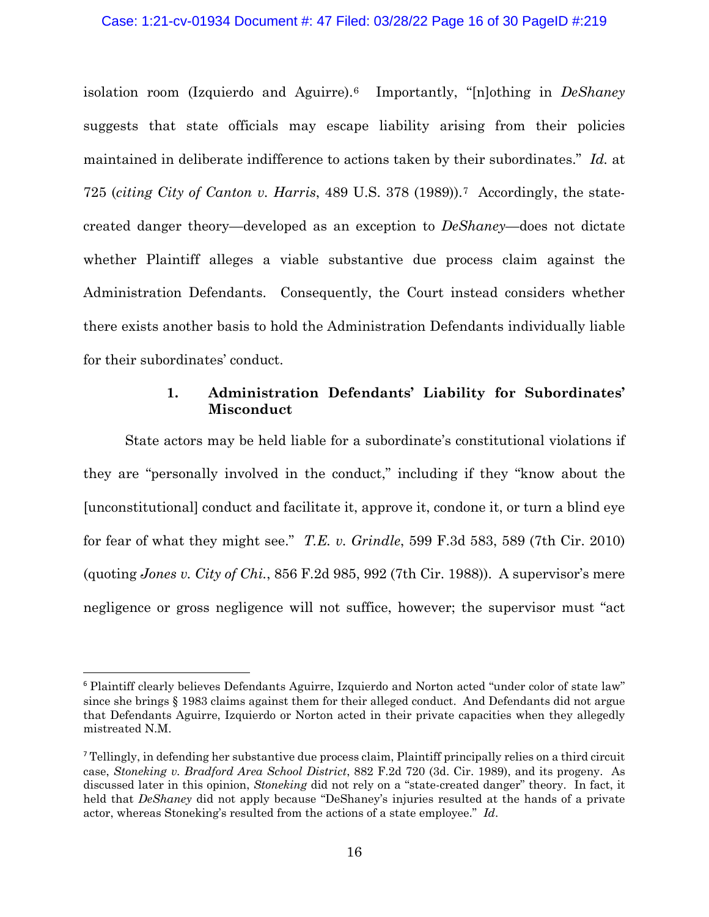## Case: 1:21-cv-01934 Document #: 47 Filed: 03/28/22 Page 16 of 30 PageID #:219

isolation room (Izquierdo and Aguirre).[6](#page-15-0) Importantly, "[n]othing in *DeShaney* suggests that state officials may escape liability arising from their policies maintained in deliberate indifference to actions taken by their subordinates." *Id.* at 725 (*citing City of Canton v. Harris*, 489 U.S. 378 (1989)).[7](#page-15-1) Accordingly, the statecreated danger theory—developed as an exception to *DeShaney*—does not dictate whether Plaintiff alleges a viable substantive due process claim against the Administration Defendants. Consequently, the Court instead considers whether there exists another basis to hold the Administration Defendants individually liable for their subordinates' conduct.

## **1. Administration Defendants' Liability for Subordinates' Misconduct**

State actors may be held liable for a subordinate's constitutional violations if they are "personally involved in the conduct," including if they "know about the [unconstitutional] conduct and facilitate it, approve it, condone it, or turn a blind eye for fear of what they might see." *T.E. v. Grindle*, 599 F.3d 583, 589 (7th Cir. 2010) (quoting *Jones v. City of Chi.*, 856 F.2d 985, 992 (7th Cir. 1988)). A supervisor's mere negligence or gross negligence will not suffice, however; the supervisor must "act

<span id="page-15-0"></span><sup>6</sup> Plaintiff clearly believes Defendants Aguirre, Izquierdo and Norton acted "under color of state law" since she brings § 1983 claims against them for their alleged conduct. And Defendants did not argue that Defendants Aguirre, Izquierdo or Norton acted in their private capacities when they allegedly mistreated N.M.

<span id="page-15-1"></span><sup>7</sup> Tellingly, in defending her substantive due process claim, Plaintiff principally relies on a third circuit case, *Stoneking v. Bradford Area School District*, 882 F.2d 720 (3d. Cir. 1989), and its progeny. As discussed later in this opinion, *Stoneking* did not rely on a "state-created danger" theory. In fact, it held that *DeShaney* did not apply because "DeShaney's injuries resulted at the hands of a private actor, whereas Stoneking's resulted from the actions of a state employee." *Id*.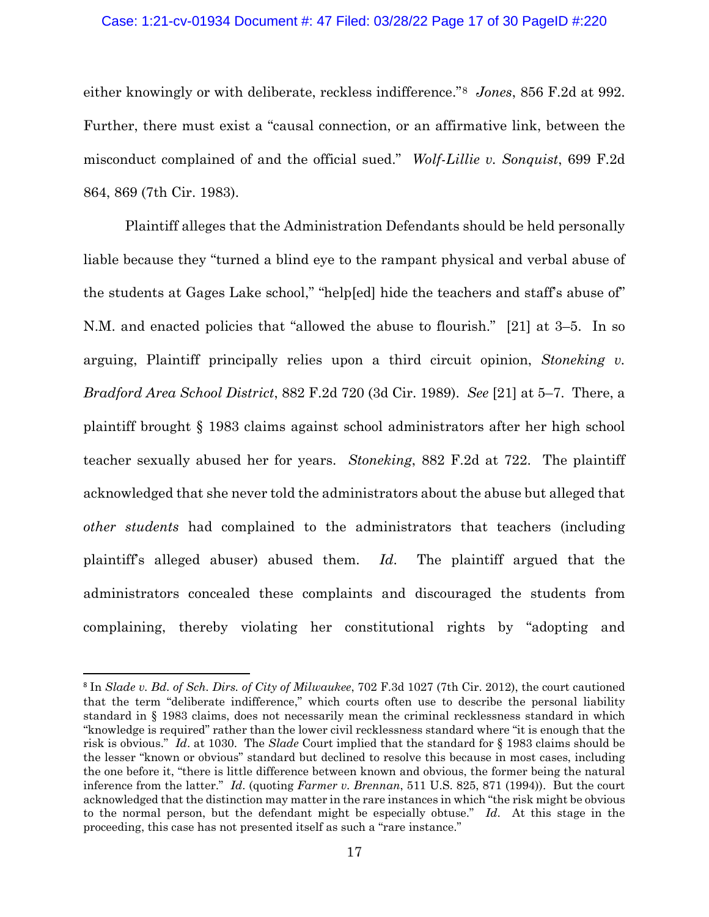## Case: 1:21-cv-01934 Document #: 47 Filed: 03/28/22 Page 17 of 30 PageID #:220

either knowingly or with deliberate, reckless indifference."[8](#page-16-0) *Jones*, 856 F.2d at 992. Further, there must exist a "causal connection, or an affirmative link, between the misconduct complained of and the official sued." *Wolf-Lillie v. Sonquist*, 699 F.2d 864, 869 (7th Cir. 1983).

Plaintiff alleges that the Administration Defendants should be held personally liable because they "turned a blind eye to the rampant physical and verbal abuse of the students at Gages Lake school," "help[ed] hide the teachers and staff's abuse of" N.M. and enacted policies that "allowed the abuse to flourish." [21] at 3–5. In so arguing, Plaintiff principally relies upon a third circuit opinion, *Stoneking v. Bradford Area School District*, 882 F.2d 720 (3d Cir. 1989). *See* [21] at 5–7. There, a plaintiff brought § 1983 claims against school administrators after her high school teacher sexually abused her for years. *Stoneking*, 882 F.2d at 722. The plaintiff acknowledged that she never told the administrators about the abuse but alleged that *other students* had complained to the administrators that teachers (including plaintiff's alleged abuser) abused them. *Id*. The plaintiff argued that the administrators concealed these complaints and discouraged the students from complaining, thereby violating her constitutional rights by "adopting and

<span id="page-16-0"></span><sup>8</sup> In *Slade v. Bd. of Sch. Dirs. of City of Milwaukee*, 702 F.3d 1027 (7th Cir. 2012), the court cautioned that the term "deliberate indifference," which courts often use to describe the personal liability standard in § 1983 claims, does not necessarily mean the criminal recklessness standard in which "knowledge is required" rather than the lower civil recklessness standard where "it is enough that the risk is obvious." *Id*. at 1030. The *Slade* Court implied that the standard for § 1983 claims should be the lesser "known or obvious" standard but declined to resolve this because in most cases, including the one before it, "there is little difference between known and obvious, the former being the natural inference from the latter." *Id*. (quoting *Farmer v. Brennan*, 511 U.S. 825, 871 (1994)). But the court acknowledged that the distinction may matter in the rare instances in which "the risk might be obvious to the normal person, but the defendant might be especially obtuse." *Id*. At this stage in the proceeding, this case has not presented itself as such a "rare instance."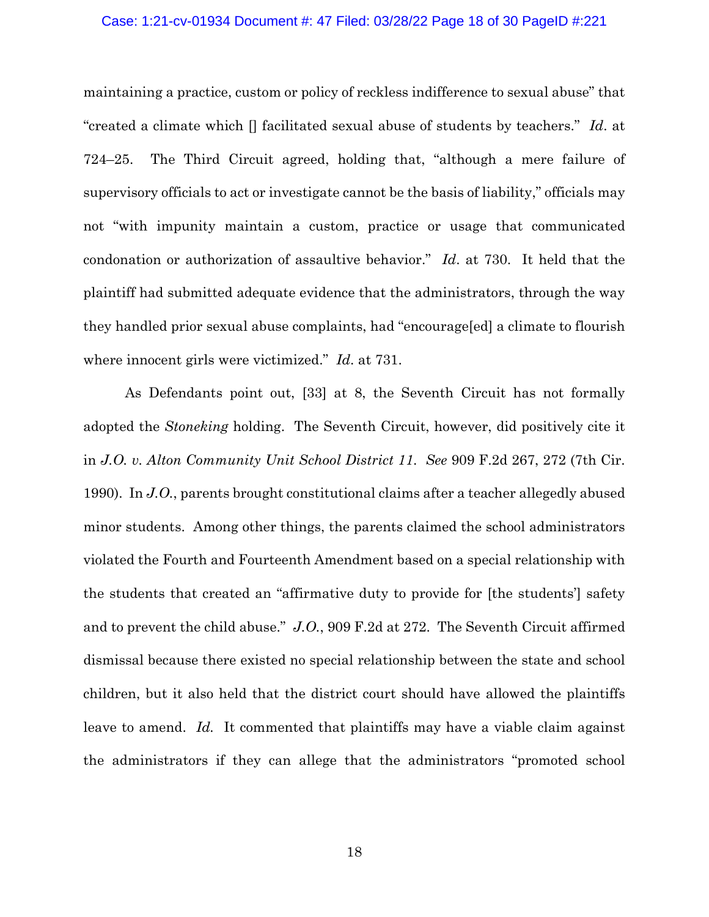## Case: 1:21-cv-01934 Document #: 47 Filed: 03/28/22 Page 18 of 30 PageID #:221

maintaining a practice, custom or policy of reckless indifference to sexual abuse" that "created a climate which [] facilitated sexual abuse of students by teachers." *Id*. at 724–25. The Third Circuit agreed, holding that, "although a mere failure of supervisory officials to act or investigate cannot be the basis of liability," officials may not "with impunity maintain a custom, practice or usage that communicated condonation or authorization of assaultive behavior." *Id*. at 730. It held that the plaintiff had submitted adequate evidence that the administrators, through the way they handled prior sexual abuse complaints, had "encourage[ed] a climate to flourish where innocent girls were victimized." *Id*. at 731.

As Defendants point out, [33] at 8, the Seventh Circuit has not formally adopted the *Stoneking* holding. The Seventh Circuit, however, did positively cite it in *J.O. v. Alton Community Unit School District 11*. *See* 909 F.2d 267, 272 (7th Cir. 1990). In *J.O.*, parents brought constitutional claims after a teacher allegedly abused minor students. Among other things, the parents claimed the school administrators violated the Fourth and Fourteenth Amendment based on a special relationship with the students that created an "affirmative duty to provide for [the students'] safety and to prevent the child abuse." *J.O.*, 909 F.2d at 272. The Seventh Circuit affirmed dismissal because there existed no special relationship between the state and school children, but it also held that the district court should have allowed the plaintiffs leave to amend. *Id.* It commented that plaintiffs may have a viable claim against the administrators if they can allege that the administrators "promoted school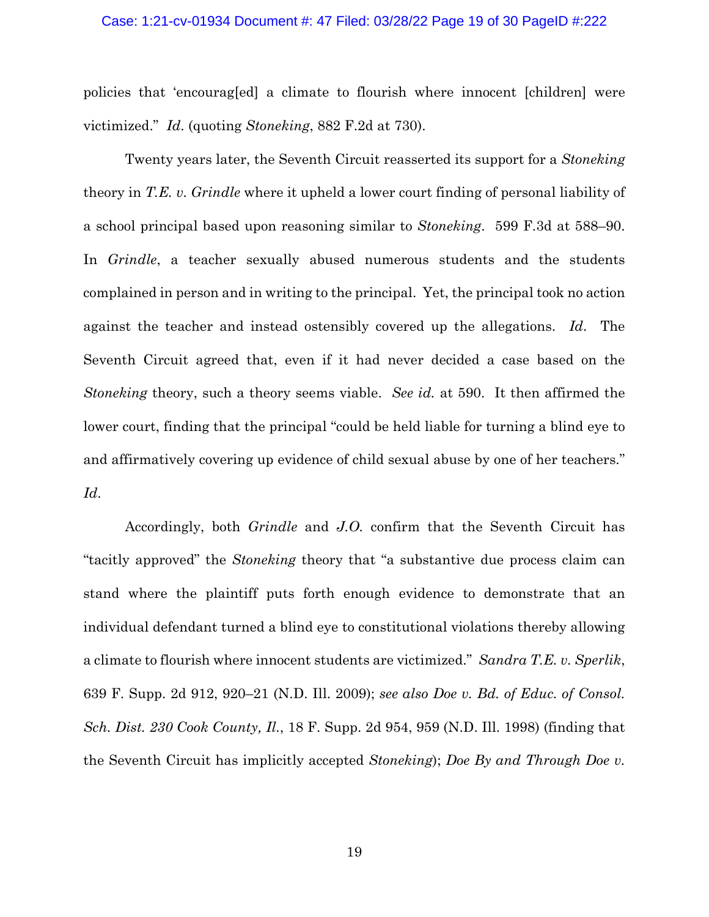## Case: 1:21-cv-01934 Document #: 47 Filed: 03/28/22 Page 19 of 30 PageID #:222

policies that 'encourag[ed] a climate to flourish where innocent [children] were victimized." *Id*. (quoting *Stoneking*, 882 F.2d at 730).

Twenty years later, the Seventh Circuit reasserted its support for a *Stoneking*  theory in *T.E. v. Grindle* where it upheld a lower court finding of personal liability of a school principal based upon reasoning similar to *Stoneking*. 599 F.3d at 588–90. In *Grindle*, a teacher sexually abused numerous students and the students complained in person and in writing to the principal. Yet, the principal took no action against the teacher and instead ostensibly covered up the allegations. *Id*. The Seventh Circuit agreed that, even if it had never decided a case based on the *Stoneking* theory, such a theory seems viable. *See id.* at 590. It then affirmed the lower court, finding that the principal "could be held liable for turning a blind eye to and affirmatively covering up evidence of child sexual abuse by one of her teachers." *Id*.

Accordingly, both *Grindle* and *J.O.* confirm that the Seventh Circuit has "tacitly approved" the *Stoneking* theory that "a substantive due process claim can stand where the plaintiff puts forth enough evidence to demonstrate that an individual defendant turned a blind eye to constitutional violations thereby allowing a climate to flourish where innocent students are victimized." *Sandra T.E. v. Sperlik*, 639 F. Supp. 2d 912, 920–21 (N.D. Ill. 2009); *see also Doe v. Bd. of Educ. of Consol. Sch. Dist. 230 Cook County, Il.*, 18 F. Supp. 2d 954, 959 (N.D. Ill. 1998) (finding that the Seventh Circuit has implicitly accepted *Stoneking*); *Doe By and Through Doe v.*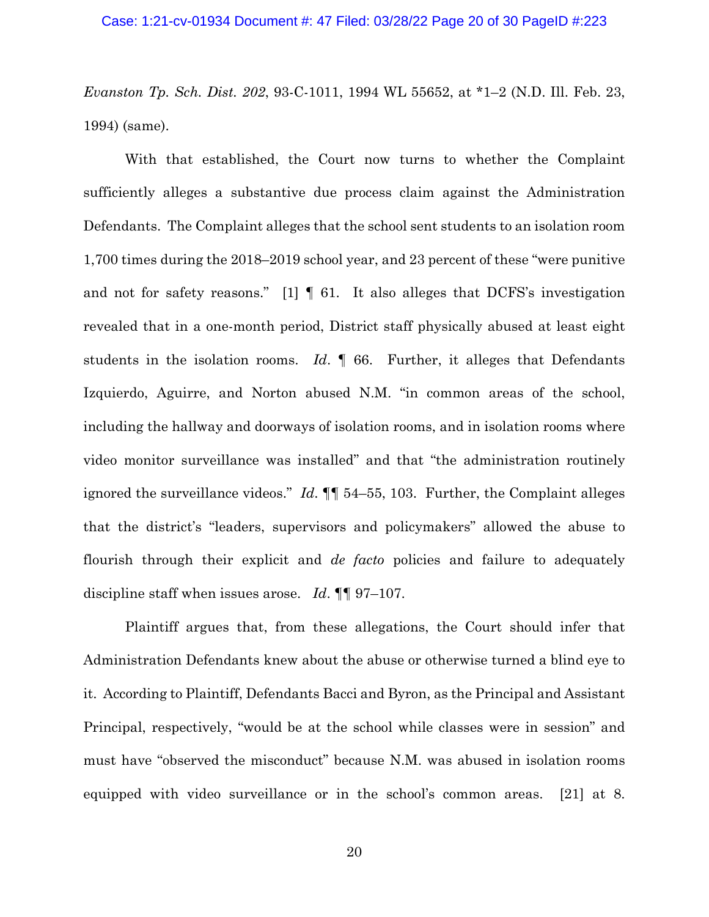*Evanston Tp. Sch. Dist. 202*, 93-C-1011, 1994 WL 55652, at \*1–2 (N.D. Ill. Feb. 23, 1994) (same).

With that established, the Court now turns to whether the Complaint sufficiently alleges a substantive due process claim against the Administration Defendants. The Complaint alleges that the school sent students to an isolation room 1,700 times during the 2018–2019 school year, and 23 percent of these "were punitive and not for safety reasons." [1] ¶ 61. It also alleges that DCFS's investigation revealed that in a one-month period, District staff physically abused at least eight students in the isolation rooms. *Id*. ¶ 66. Further, it alleges that Defendants Izquierdo, Aguirre, and Norton abused N.M. "in common areas of the school, including the hallway and doorways of isolation rooms, and in isolation rooms where video monitor surveillance was installed" and that "the administration routinely ignored the surveillance videos." *Id*. ¶¶ 54–55, 103. Further, the Complaint alleges that the district's "leaders, supervisors and policymakers" allowed the abuse to flourish through their explicit and *de facto* policies and failure to adequately discipline staff when issues arose. *Id*. ¶¶ 97–107.

Plaintiff argues that, from these allegations, the Court should infer that Administration Defendants knew about the abuse or otherwise turned a blind eye to it. According to Plaintiff, Defendants Bacci and Byron, as the Principal and Assistant Principal, respectively, "would be at the school while classes were in session" and must have "observed the misconduct" because N.M. was abused in isolation rooms equipped with video surveillance or in the school's common areas. [21] at 8.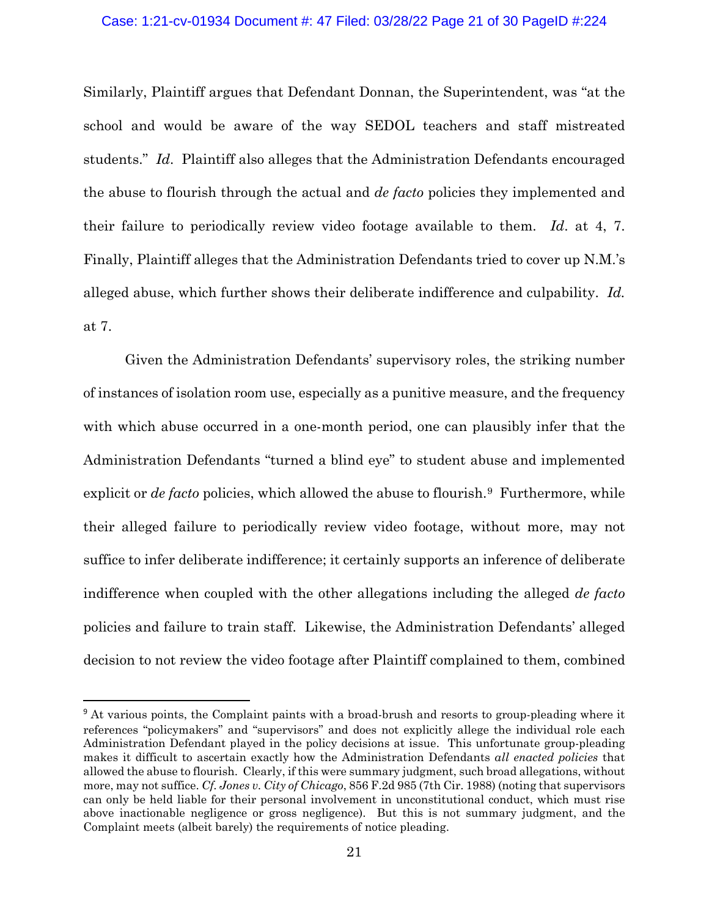## Case: 1:21-cv-01934 Document #: 47 Filed: 03/28/22 Page 21 of 30 PageID #:224

Similarly, Plaintiff argues that Defendant Donnan, the Superintendent, was "at the school and would be aware of the way SEDOL teachers and staff mistreated students." *Id*. Plaintiff also alleges that the Administration Defendants encouraged the abuse to flourish through the actual and *de facto* policies they implemented and their failure to periodically review video footage available to them. *Id*. at 4, 7. Finally, Plaintiff alleges that the Administration Defendants tried to cover up N.M.'s alleged abuse, which further shows their deliberate indifference and culpability. *Id.*  at 7.

Given the Administration Defendants' supervisory roles, the striking number of instances of isolation room use, especially as a punitive measure, and the frequency with which abuse occurred in a one-month period, one can plausibly infer that the Administration Defendants "turned a blind eye" to student abuse and implemented explicit or *de facto* policies, which allowed the abuse to flourish.<sup>[9](#page-20-0)</sup> Furthermore, while their alleged failure to periodically review video footage, without more, may not suffice to infer deliberate indifference; it certainly supports an inference of deliberate indifference when coupled with the other allegations including the alleged *de facto*  policies and failure to train staff. Likewise, the Administration Defendants' alleged decision to not review the video footage after Plaintiff complained to them, combined

<span id="page-20-0"></span><sup>&</sup>lt;sup>9</sup> At various points, the Complaint paints with a broad-brush and resorts to group-pleading where it references "policymakers" and "supervisors" and does not explicitly allege the individual role each Administration Defendant played in the policy decisions at issue. This unfortunate group-pleading makes it difficult to ascertain exactly how the Administration Defendants *all enacted policies* that allowed the abuse to flourish. Clearly, if this were summary judgment, such broad allegations, without more, may not suffice. *Cf. Jones v. City of Chicago*, 856 F.2d 985 (7th Cir. 1988) (noting that supervisors can only be held liable for their personal involvement in unconstitutional conduct, which must rise above inactionable negligence or gross negligence). But this is not summary judgment, and the Complaint meets (albeit barely) the requirements of notice pleading.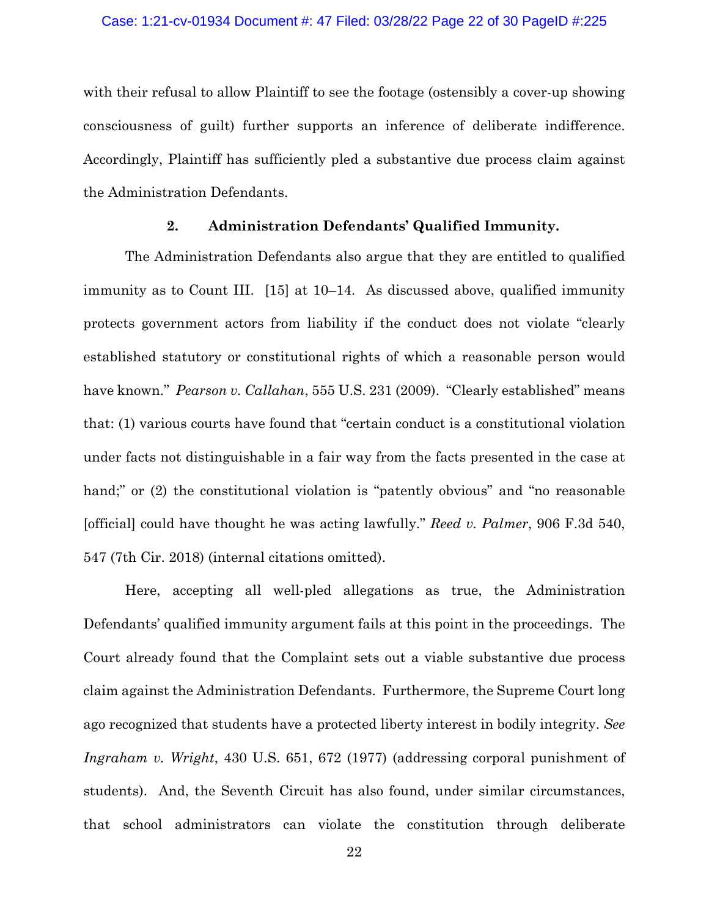## Case: 1:21-cv-01934 Document #: 47 Filed: 03/28/22 Page 22 of 30 PageID #:225

with their refusal to allow Plaintiff to see the footage (ostensibly a cover-up showing consciousness of guilt) further supports an inference of deliberate indifference. Accordingly, Plaintiff has sufficiently pled a substantive due process claim against the Administration Defendants.

## **2. Administration Defendants' Qualified Immunity.**

The Administration Defendants also argue that they are entitled to qualified immunity as to Count III. [15] at 10–14. As discussed above, qualified immunity protects government actors from liability if the conduct does not violate "clearly established statutory or constitutional rights of which a reasonable person would have known." *Pearson v. Callahan*, 555 U.S. 231 (2009). "Clearly established" means that: (1) various courts have found that "certain conduct is a constitutional violation under facts not distinguishable in a fair way from the facts presented in the case at hand;" or (2) the constitutional violation is "patently obvious" and "no reasonable [official] could have thought he was acting lawfully." *Reed v. Palmer*, 906 F.3d 540, 547 (7th Cir. 2018) (internal citations omitted).

Here, accepting all well-pled allegations as true, the Administration Defendants' qualified immunity argument fails at this point in the proceedings. The Court already found that the Complaint sets out a viable substantive due process claim against the Administration Defendants. Furthermore, the Supreme Court long ago recognized that students have a protected liberty interest in bodily integrity. *See Ingraham v. Wright*, 430 U.S. 651, 672 (1977) (addressing corporal punishment of students). And, the Seventh Circuit has also found, under similar circumstances, that school administrators can violate the constitution through deliberate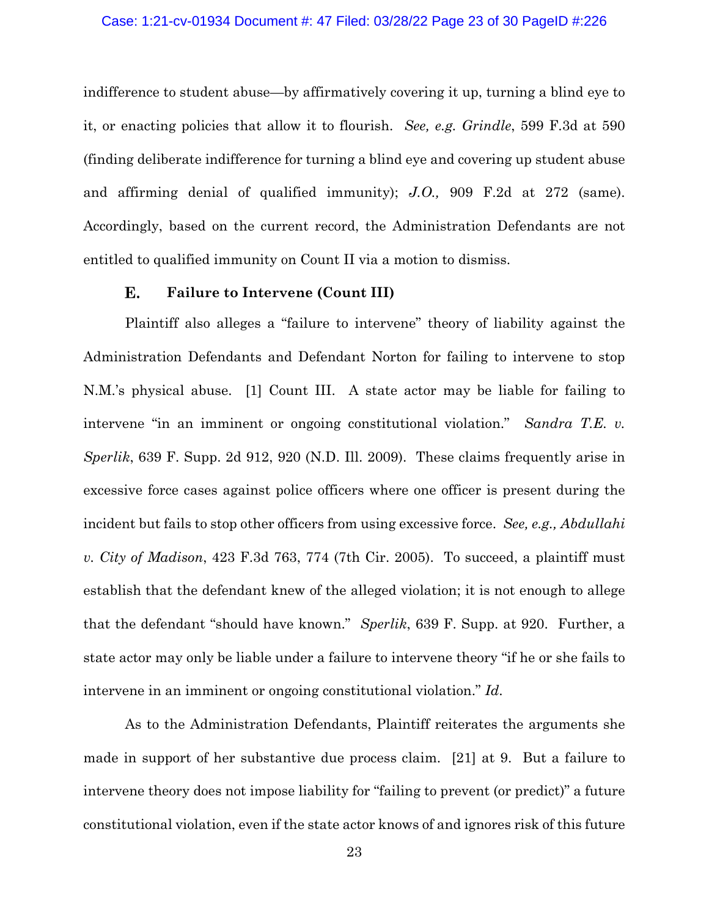## Case: 1:21-cv-01934 Document #: 47 Filed: 03/28/22 Page 23 of 30 PageID #:226

indifference to student abuse—by affirmatively covering it up, turning a blind eye to it, or enacting policies that allow it to flourish. *See, e.g. Grindle*, 599 F.3d at 590 (finding deliberate indifference for turning a blind eye and covering up student abuse and affirming denial of qualified immunity); *J.O.,* 909 F.2d at 272 (same). Accordingly, based on the current record, the Administration Defendants are not entitled to qualified immunity on Count II via a motion to dismiss.

#### Е. **Failure to Intervene (Count III)**

Plaintiff also alleges a "failure to intervene" theory of liability against the Administration Defendants and Defendant Norton for failing to intervene to stop N.M.'s physical abuse. [1] Count III. A state actor may be liable for failing to intervene "in an imminent or ongoing constitutional violation." *Sandra T.E. v. Sperlik*, 639 F. Supp. 2d 912, 920 (N.D. Ill. 2009). These claims frequently arise in excessive force cases against police officers where one officer is present during the incident but fails to stop other officers from using excessive force. *See, e.g., Abdullahi v. City of Madison*, 423 F.3d 763, 774 (7th Cir. 2005). To succeed, a plaintiff must establish that the defendant knew of the alleged violation; it is not enough to allege that the defendant "should have known." *Sperlik*, 639 F. Supp. at 920. Further, a state actor may only be liable under a failure to intervene theory "if he or she fails to intervene in an imminent or ongoing constitutional violation." *Id*.

As to the Administration Defendants, Plaintiff reiterates the arguments she made in support of her substantive due process claim. [21] at 9. But a failure to intervene theory does not impose liability for "failing to prevent (or predict)" a future constitutional violation, even if the state actor knows of and ignores risk of this future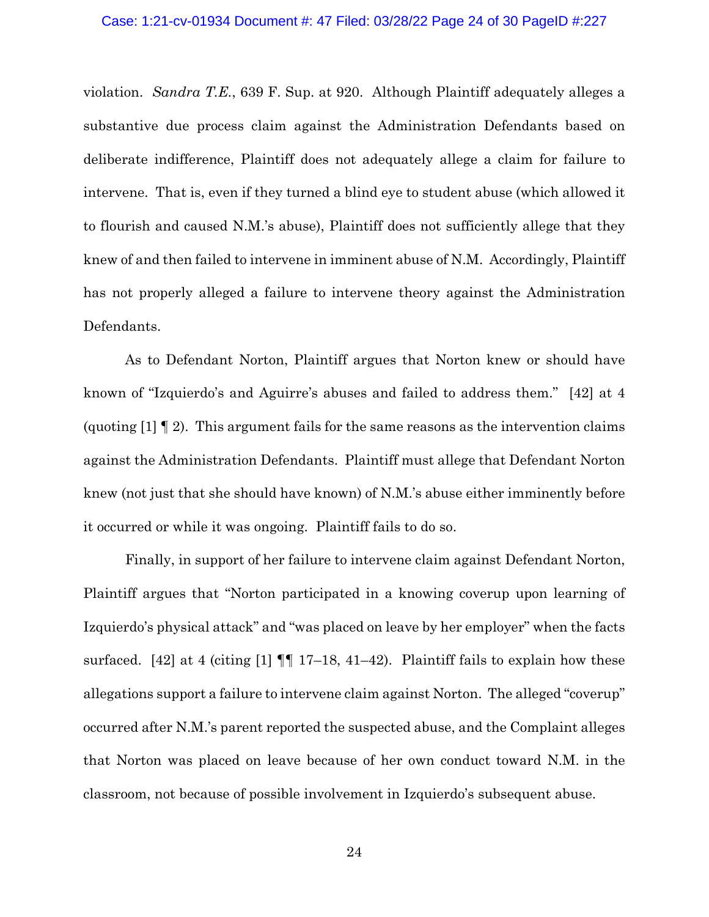## Case: 1:21-cv-01934 Document #: 47 Filed: 03/28/22 Page 24 of 30 PageID #:227

violation. *Sandra T.E.*, 639 F. Sup. at 920. Although Plaintiff adequately alleges a substantive due process claim against the Administration Defendants based on deliberate indifference, Plaintiff does not adequately allege a claim for failure to intervene. That is, even if they turned a blind eye to student abuse (which allowed it to flourish and caused N.M.'s abuse), Plaintiff does not sufficiently allege that they knew of and then failed to intervene in imminent abuse of N.M. Accordingly, Plaintiff has not properly alleged a failure to intervene theory against the Administration Defendants.

As to Defendant Norton, Plaintiff argues that Norton knew or should have known of "Izquierdo's and Aguirre's abuses and failed to address them." [42] at 4 (quoting [1] ¶ 2). This argument fails for the same reasons as the intervention claims against the Administration Defendants. Plaintiff must allege that Defendant Norton knew (not just that she should have known) of N.M.'s abuse either imminently before it occurred or while it was ongoing. Plaintiff fails to do so.

Finally, in support of her failure to intervene claim against Defendant Norton, Plaintiff argues that "Norton participated in a knowing coverup upon learning of Izquierdo's physical attack" and "was placed on leave by her employer" when the facts surfaced. [42] at 4 (citing [1]  $\P$  17–18, 41–42). Plaintiff fails to explain how these allegations support a failure to intervene claim against Norton. The alleged "coverup" occurred after N.M.'s parent reported the suspected abuse, and the Complaint alleges that Norton was placed on leave because of her own conduct toward N.M. in the classroom, not because of possible involvement in Izquierdo's subsequent abuse.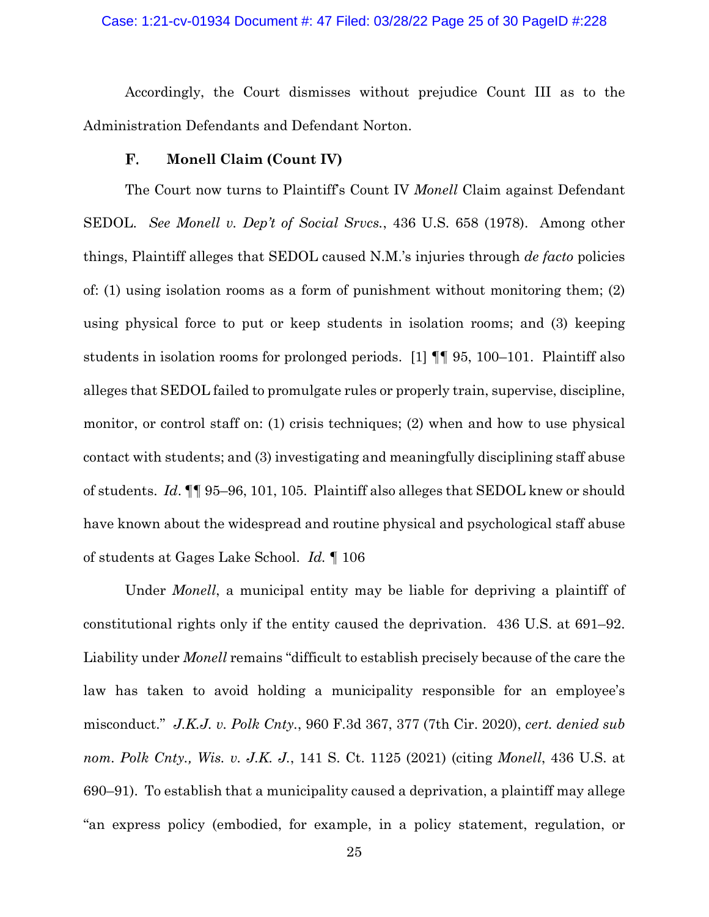## Case: 1:21-cv-01934 Document #: 47 Filed: 03/28/22 Page 25 of 30 PageID #:228

Accordingly, the Court dismisses without prejudice Count III as to the Administration Defendants and Defendant Norton.

### F. **Monell Claim (Count IV)**

The Court now turns to Plaintiff's Count IV *Monell* Claim against Defendant SEDOL. *See Monell v. Dep't of Social Srvcs.*, 436 U.S. 658 (1978). Among other things, Plaintiff alleges that SEDOL caused N.M.'s injuries through *de facto* policies of: (1) using isolation rooms as a form of punishment without monitoring them; (2) using physical force to put or keep students in isolation rooms; and (3) keeping students in isolation rooms for prolonged periods. [1] ¶¶ 95, 100–101. Plaintiff also alleges that SEDOL failed to promulgate rules or properly train, supervise, discipline, monitor, or control staff on: (1) crisis techniques; (2) when and how to use physical contact with students; and (3) investigating and meaningfully disciplining staff abuse of students. *Id*. ¶¶ 95–96, 101, 105. Plaintiff also alleges that SEDOL knew or should have known about the widespread and routine physical and psychological staff abuse of students at Gages Lake School. *Id.* ¶ 106

Under *Monell*, a municipal entity may be liable for depriving a plaintiff of constitutional rights only if the entity caused the deprivation. 436 U.S. at 691–92. Liability under *Monell* remains "difficult to establish precisely because of the care the law has taken to avoid holding a municipality responsible for an employee's misconduct." *J.K.J. v. Polk Cnty.*, 960 F.3d 367, 377 (7th Cir. 2020), *cert. denied sub nom. Polk Cnty., Wis. v. J.K. J.*, 141 S. Ct. 1125 (2021) (citing *Monell*, 436 U.S. at 690–91). To establish that a municipality caused a deprivation, a plaintiff may allege "an express policy (embodied, for example, in a policy statement, regulation, or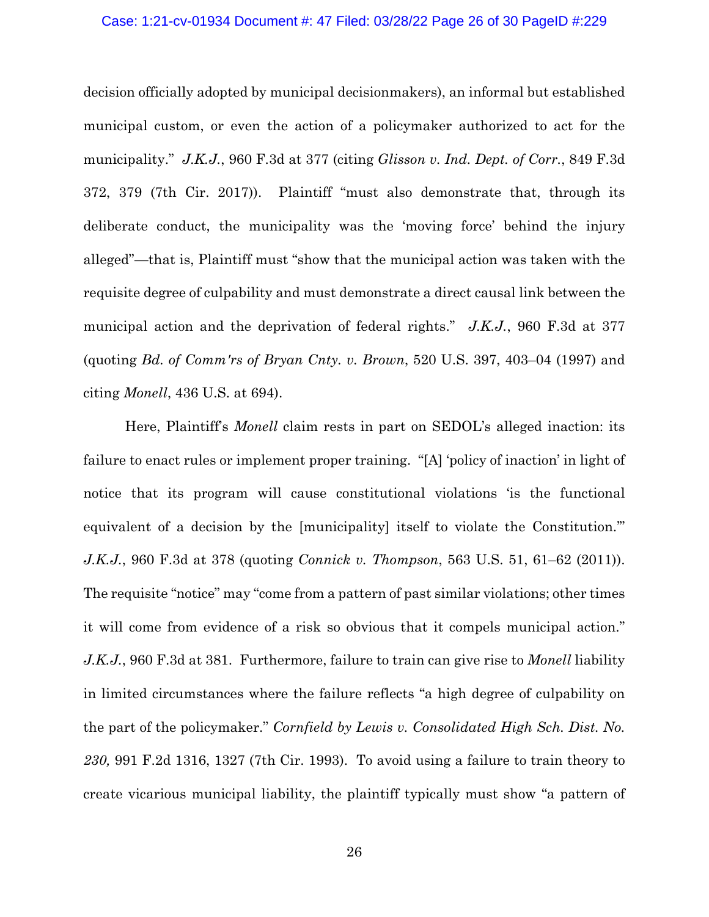## Case: 1:21-cv-01934 Document #: 47 Filed: 03/28/22 Page 26 of 30 PageID #:229

decision officially adopted by municipal decisionmakers), an informal but established municipal custom, or even the action of a policymaker authorized to act for the municipality." *J.K.J.*, 960 F.3d at 377 (citing *Glisson v. Ind. Dept. of Corr.*, 849 F.3d 372, 379 (7th Cir. 2017)). Plaintiff "must also demonstrate that, through its deliberate conduct, the municipality was the 'moving force' behind the injury alleged"—that is, Plaintiff must "show that the municipal action was taken with the requisite degree of culpability and must demonstrate a direct causal link between the municipal action and the deprivation of federal rights." *J.K.J.*, 960 F.3d at 377 (quoting *Bd. of Comm'rs of Bryan Cnty. v. Brown*, 520 U.S. 397, 403–04 (1997) and citing *Monell*, 436 U.S. at 694).

Here, Plaintiff's *Monell* claim rests in part on SEDOL's alleged inaction: its failure to enact rules or implement proper training. "[A] 'policy of inaction' in light of notice that its program will cause constitutional violations 'is the functional equivalent of a decision by the [municipality] itself to violate the Constitution.'" *J.K.J.*, 960 F.3d at 378 (quoting *Connick v. Thompson*, 563 U.S. 51, 61–62 (2011)). The requisite "notice" may "come from a pattern of past similar violations; other times it will come from evidence of a risk so obvious that it compels municipal action." *J.K.J.*, 960 F.3d at 381. Furthermore, failure to train can give rise to *Monell* liability in limited circumstances where the failure reflects "a high degree of culpability on the part of the policymaker." *Cornfield by Lewis v. Consolidated High Sch. Dist. No. 230,* 991 F.2d 1316, 1327 (7th Cir. 1993). To avoid using a failure to train theory to create vicarious municipal liability, the plaintiff typically must show "a pattern of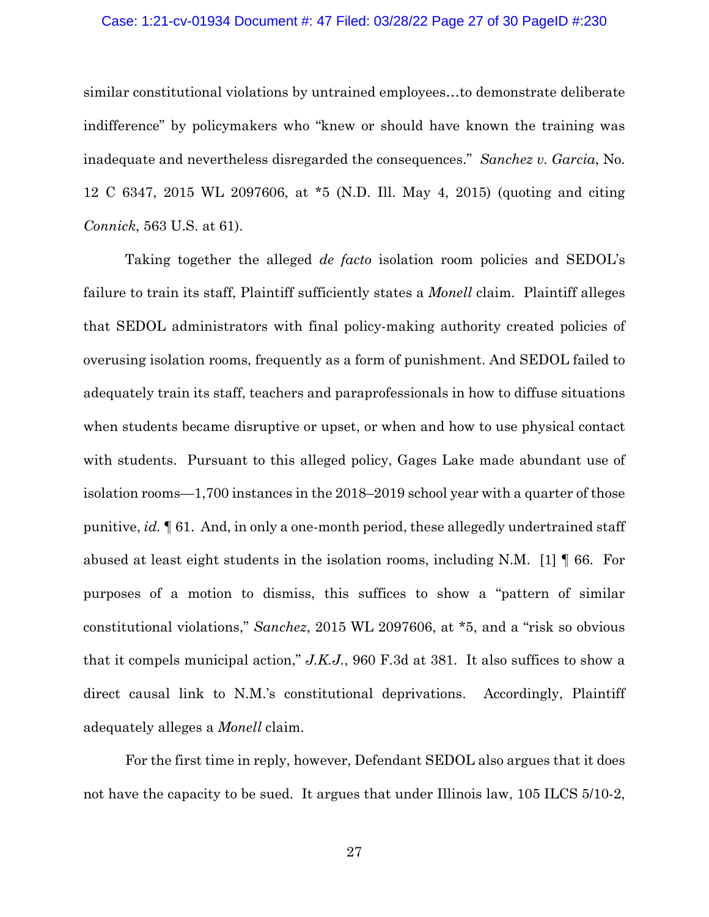## Case: 1:21-cv-01934 Document #: 47 Filed: 03/28/22 Page 27 of 30 PageID #:230

similar constitutional violations by untrained employees…to demonstrate deliberate indifference" by policymakers who "knew or should have known the training was inadequate and nevertheless disregarded the consequences." *Sanchez v. Garcia*, No. 12 C 6347, 2015 WL 2097606, at \*5 (N.D. Ill. May 4, 2015) (quoting and citing *Connick*, 563 U.S. at 61).

Taking together the alleged *de facto* isolation room policies and SEDOL's failure to train its staff, Plaintiff sufficiently states a *Monell* claim. Plaintiff alleges that SEDOL administrators with final policy-making authority created policies of overusing isolation rooms, frequently as a form of punishment. And SEDOL failed to adequately train its staff, teachers and paraprofessionals in how to diffuse situations when students became disruptive or upset, or when and how to use physical contact with students. Pursuant to this alleged policy, Gages Lake made abundant use of isolation rooms—1,700 instances in the 2018–2019 school year with a quarter of those punitive, *id.* ¶ 61. And, in only a one-month period, these allegedly undertrained staff abused at least eight students in the isolation rooms, including N.M. [1] ¶ 66. For purposes of a motion to dismiss, this suffices to show a "pattern of similar constitutional violations," *Sanchez*, 2015 WL 2097606, at \*5, and a "risk so obvious that it compels municipal action," *J.K.J.*, 960 F.3d at 381. It also suffices to show a direct causal link to N.M.'s constitutional deprivations. Accordingly, Plaintiff adequately alleges a *Monell* claim.

For the first time in reply, however, Defendant SEDOL also argues that it does not have the capacity to be sued. It argues that under Illinois law, 105 ILCS 5/10-2,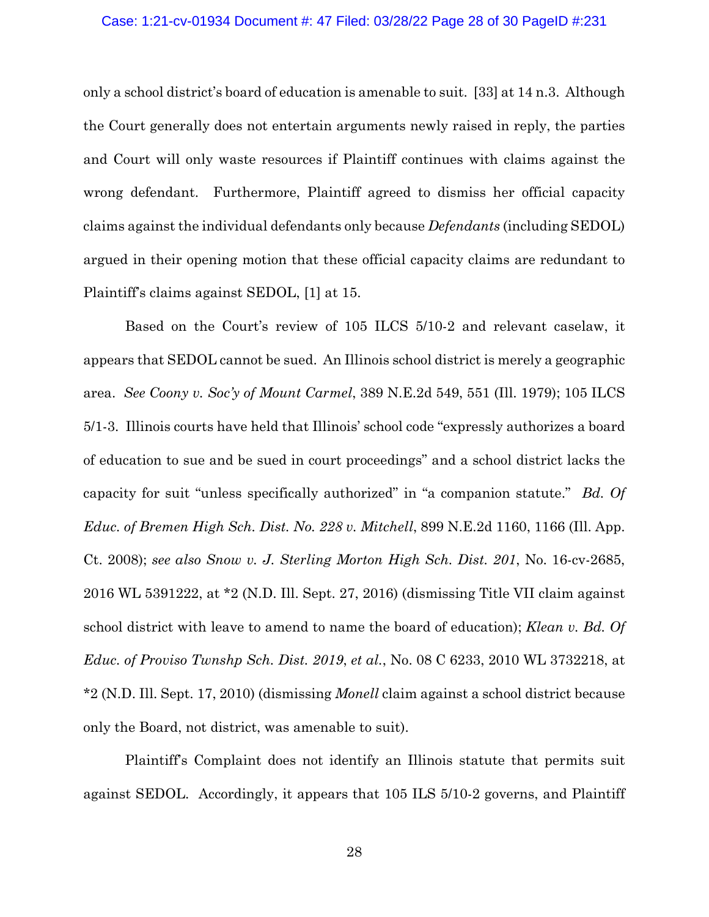## Case: 1:21-cv-01934 Document #: 47 Filed: 03/28/22 Page 28 of 30 PageID #:231

only a school district's board of education is amenable to suit. [33] at 14 n.3. Although the Court generally does not entertain arguments newly raised in reply, the parties and Court will only waste resources if Plaintiff continues with claims against the wrong defendant. Furthermore, Plaintiff agreed to dismiss her official capacity claims against the individual defendants only because *Defendants* (including SEDOL) argued in their opening motion that these official capacity claims are redundant to Plaintiff's claims against SEDOL, [1] at 15.

Based on the Court's review of 105 ILCS 5/10-2 and relevant caselaw, it appears that SEDOL cannot be sued. An Illinois school district is merely a geographic area. *See Coony v. Soc'y of Mount Carmel*, 389 N.E.2d 549, 551 (Ill. 1979); 105 ILCS 5/1-3. Illinois courts have held that Illinois' school code "expressly authorizes a board of education to sue and be sued in court proceedings" and a school district lacks the capacity for suit "unless specifically authorized" in "a companion statute." *Bd. Of Educ. of Bremen High Sch. Dist. No. 228 v. Mitchell*, 899 N.E.2d 1160, 1166 (Ill. App. Ct. 2008); *see also Snow v. J. Sterling Morton High Sch. Dist. 201*, No. 16-cv-2685, 2016 WL 5391222, at \*2 (N.D. Ill. Sept. 27, 2016) (dismissing Title VII claim against school district with leave to amend to name the board of education); *Klean v. Bd. Of Educ. of Proviso Twnshp Sch. Dist. 2019*, *et al.*, No. 08 C 6233, 2010 WL 3732218, at \*2 (N.D. Ill. Sept. 17, 2010) (dismissing *Monell* claim against a school district because only the Board, not district, was amenable to suit).

Plaintiff's Complaint does not identify an Illinois statute that permits suit against SEDOL. Accordingly, it appears that 105 ILS 5/10-2 governs, and Plaintiff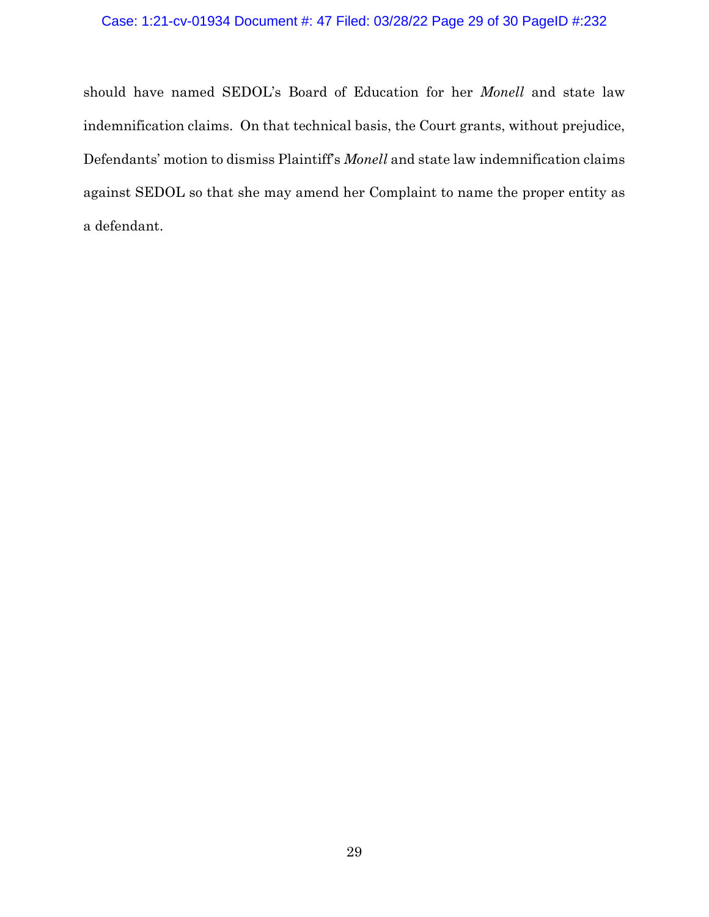## Case: 1:21-cv-01934 Document #: 47 Filed: 03/28/22 Page 29 of 30 PageID #:232

should have named SEDOL's Board of Education for her *Monell* and state law indemnification claims. On that technical basis, the Court grants, without prejudice, Defendants' motion to dismiss Plaintiff's *Monell* and state law indemnification claims against SEDOL so that she may amend her Complaint to name the proper entity as a defendant.